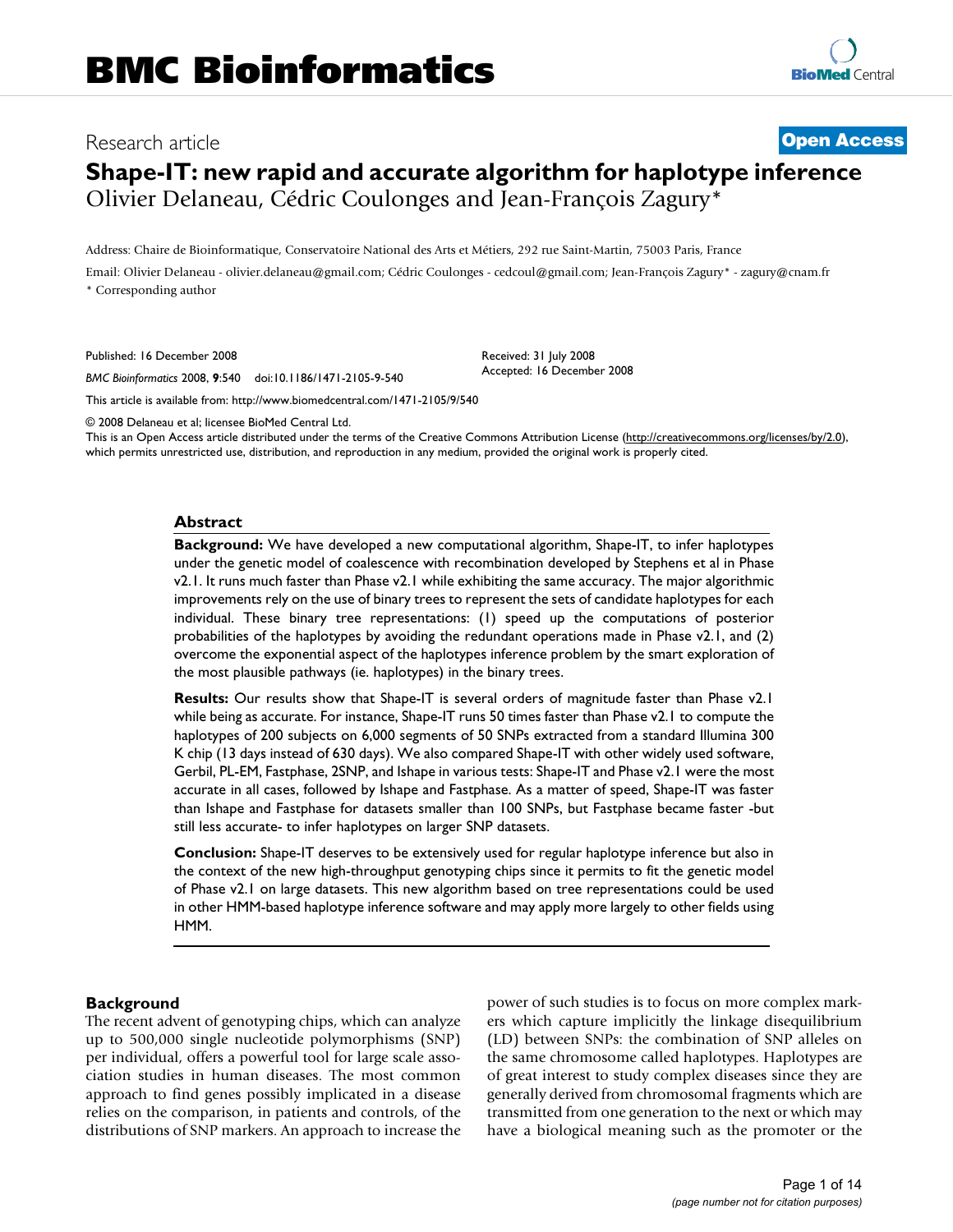# Research article **[Open Access](http://www.biomedcentral.com/info/about/charter/) Shape-IT: new rapid and accurate algorithm for haplotype inference** Olivier Delaneau, Cédric Coulonges and Jean-François Zagury\*

Address: Chaire de Bioinformatique, Conservatoire National des Arts et Métiers, 292 rue Saint-Martin, 75003 Paris, France

Email: Olivier Delaneau - olivier.delaneau@gmail.com; Cédric Coulonges - cedcoul@gmail.com; Jean-François Zagury\* - zagury@cnam.fr \* Corresponding author

Published: 16 December 2008

*BMC Bioinformatics* 2008, **9**:540 doi:10.1186/1471-2105-9-540

[This article is available from: http://www.biomedcentral.com/1471-2105/9/540](http://www.biomedcentral.com/1471-2105/9/540)

© 2008 Delaneau et al; licensee BioMed Central Ltd.

This is an Open Access article distributed under the terms of the Creative Commons Attribution License [\(http://creativecommons.org/licenses/by/2.0\)](http://creativecommons.org/licenses/by/2.0), which permits unrestricted use, distribution, and reproduction in any medium, provided the original work is properly cited.

Received: 31 July 2008 Accepted: 16 December 2008

### **Abstract**

**Background:** We have developed a new computational algorithm, Shape-IT, to infer haplotypes under the genetic model of coalescence with recombination developed by Stephens et al in Phase v2.1. It runs much faster than Phase v2.1 while exhibiting the same accuracy. The major algorithmic improvements rely on the use of binary trees to represent the sets of candidate haplotypes for each individual. These binary tree representations: (1) speed up the computations of posterior probabilities of the haplotypes by avoiding the redundant operations made in Phase v2.1, and (2) overcome the exponential aspect of the haplotypes inference problem by the smart exploration of the most plausible pathways (ie. haplotypes) in the binary trees.

**Results:** Our results show that Shape-IT is several orders of magnitude faster than Phase v2.1 while being as accurate. For instance, Shape-IT runs 50 times faster than Phase v2.1 to compute the haplotypes of 200 subjects on 6,000 segments of 50 SNPs extracted from a standard Illumina 300 K chip (13 days instead of 630 days). We also compared Shape-IT with other widely used software, Gerbil, PL-EM, Fastphase, 2SNP, and Ishape in various tests: Shape-IT and Phase v2.1 were the most accurate in all cases, followed by Ishape and Fastphase. As a matter of speed, Shape-IT was faster than Ishape and Fastphase for datasets smaller than 100 SNPs, but Fastphase became faster -but still less accurate- to infer haplotypes on larger SNP datasets.

**Conclusion:** Shape-IT deserves to be extensively used for regular haplotype inference but also in the context of the new high-throughput genotyping chips since it permits to fit the genetic model of Phase v2.1 on large datasets. This new algorithm based on tree representations could be used in other HMM-based haplotype inference software and may apply more largely to other fields using HMM.

### **Background**

The recent advent of genotyping chips, which can analyze up to 500,000 single nucleotide polymorphisms (SNP) per individual, offers a powerful tool for large scale association studies in human diseases. The most common approach to find genes possibly implicated in a disease relies on the comparison, in patients and controls, of the distributions of SNP markers. An approach to increase the power of such studies is to focus on more complex markers which capture implicitly the linkage disequilibrium (LD) between SNPs: the combination of SNP alleles on the same chromosome called haplotypes. Haplotypes are of great interest to study complex diseases since they are generally derived from chromosomal fragments which are transmitted from one generation to the next or which may have a biological meaning such as the promoter or the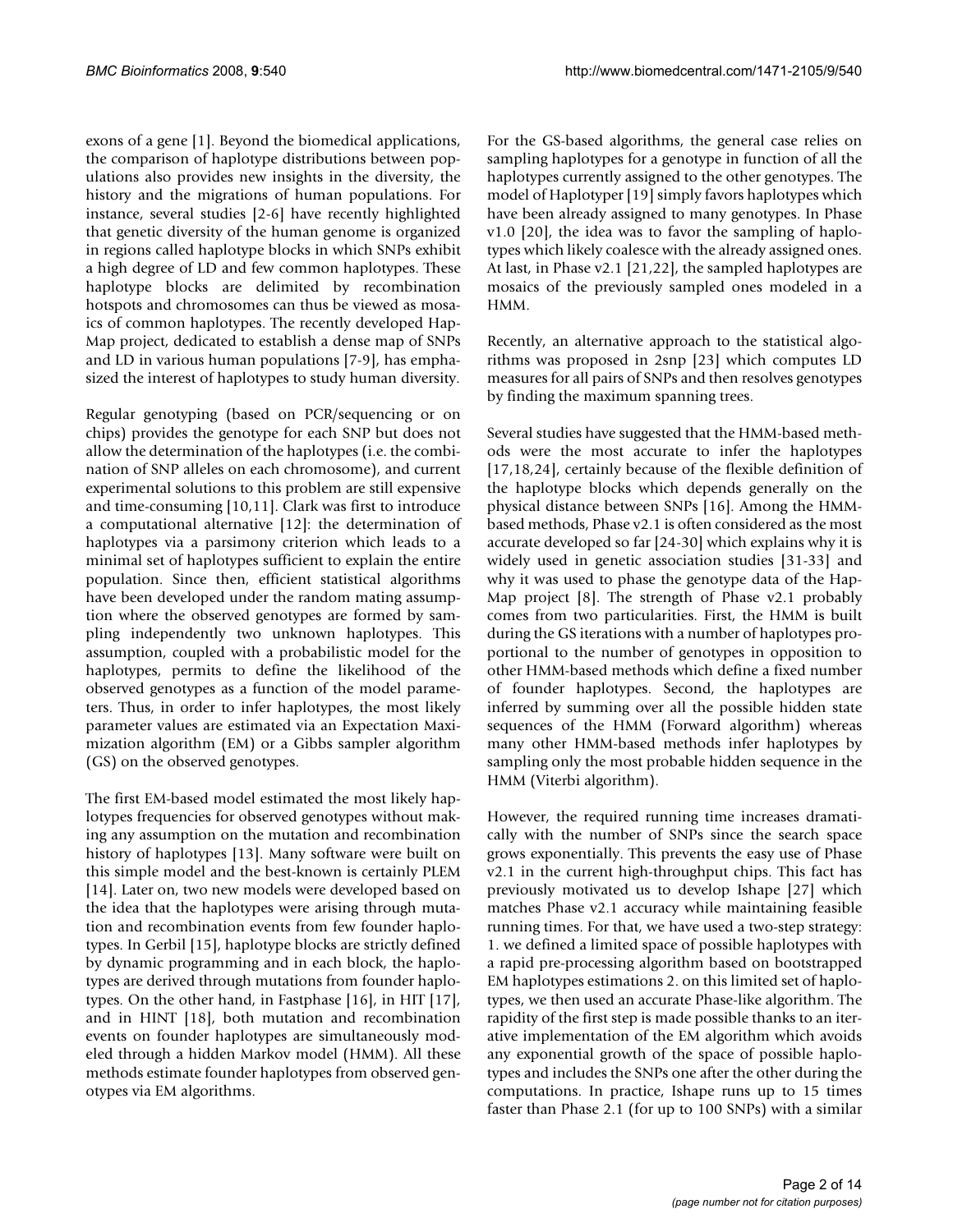exons of a gene [1]. Beyond the biomedical applications, the comparison of haplotype distributions between populations also provides new insights in the diversity, the history and the migrations of human populations. For instance, several studies [2-6] have recently highlighted that genetic diversity of the human genome is organized in regions called haplotype blocks in which SNPs exhibit a high degree of LD and few common haplotypes. These haplotype blocks are delimited by recombination hotspots and chromosomes can thus be viewed as mosaics of common haplotypes. The recently developed Hap-Map project, dedicated to establish a dense map of SNPs and LD in various human populations [7-9], has emphasized the interest of haplotypes to study human diversity.

Regular genotyping (based on PCR/sequencing or on chips) provides the genotype for each SNP but does not allow the determination of the haplotypes (i.e. the combination of SNP alleles on each chromosome), and current experimental solutions to this problem are still expensive and time-consuming [10,11]. Clark was first to introduce a computational alternative [12]: the determination of haplotypes via a parsimony criterion which leads to a minimal set of haplotypes sufficient to explain the entire population. Since then, efficient statistical algorithms have been developed under the random mating assumption where the observed genotypes are formed by sampling independently two unknown haplotypes. This assumption, coupled with a probabilistic model for the haplotypes, permits to define the likelihood of the observed genotypes as a function of the model parameters. Thus, in order to infer haplotypes, the most likely parameter values are estimated via an Expectation Maximization algorithm (EM) or a Gibbs sampler algorithm (GS) on the observed genotypes.

The first EM-based model estimated the most likely haplotypes frequencies for observed genotypes without making any assumption on the mutation and recombination history of haplotypes [13]. Many software were built on this simple model and the best-known is certainly PLEM [14]. Later on, two new models were developed based on the idea that the haplotypes were arising through mutation and recombination events from few founder haplotypes. In Gerbil [15], haplotype blocks are strictly defined by dynamic programming and in each block, the haplotypes are derived through mutations from founder haplotypes. On the other hand, in Fastphase [16], in HIT [17], and in HINT [18], both mutation and recombination events on founder haplotypes are simultaneously modeled through a hidden Markov model (HMM). All these methods estimate founder haplotypes from observed genotypes via EM algorithms.

For the GS-based algorithms, the general case relies on sampling haplotypes for a genotype in function of all the haplotypes currently assigned to the other genotypes. The model of Haplotyper [19] simply favors haplotypes which have been already assigned to many genotypes. In Phase v1.0 [20], the idea was to favor the sampling of haplotypes which likely coalesce with the already assigned ones. At last, in Phase v2.1 [21,22], the sampled haplotypes are mosaics of the previously sampled ones modeled in a HMM.

Recently, an alternative approach to the statistical algorithms was proposed in 2snp [23] which computes LD measures for all pairs of SNPs and then resolves genotypes by finding the maximum spanning trees.

Several studies have suggested that the HMM-based methods were the most accurate to infer the haplotypes [17,18,24], certainly because of the flexible definition of the haplotype blocks which depends generally on the physical distance between SNPs [16]. Among the HMMbased methods, Phase v2.1 is often considered as the most accurate developed so far [24-30] which explains why it is widely used in genetic association studies [31-33] and why it was used to phase the genotype data of the Hap-Map project [8]. The strength of Phase v2.1 probably comes from two particularities. First, the HMM is built during the GS iterations with a number of haplotypes proportional to the number of genotypes in opposition to other HMM-based methods which define a fixed number of founder haplotypes. Second, the haplotypes are inferred by summing over all the possible hidden state sequences of the HMM (Forward algorithm) whereas many other HMM-based methods infer haplotypes by sampling only the most probable hidden sequence in the HMM (Viterbi algorithm).

However, the required running time increases dramatically with the number of SNPs since the search space grows exponentially. This prevents the easy use of Phase v2.1 in the current high-throughput chips. This fact has previously motivated us to develop Ishape [27] which matches Phase v2.1 accuracy while maintaining feasible running times. For that, we have used a two-step strategy: 1. we defined a limited space of possible haplotypes with a rapid pre-processing algorithm based on bootstrapped EM haplotypes estimations 2. on this limited set of haplotypes, we then used an accurate Phase-like algorithm. The rapidity of the first step is made possible thanks to an iterative implementation of the EM algorithm which avoids any exponential growth of the space of possible haplotypes and includes the SNPs one after the other during the computations. In practice, Ishape runs up to 15 times faster than Phase 2.1 (for up to 100 SNPs) with a similar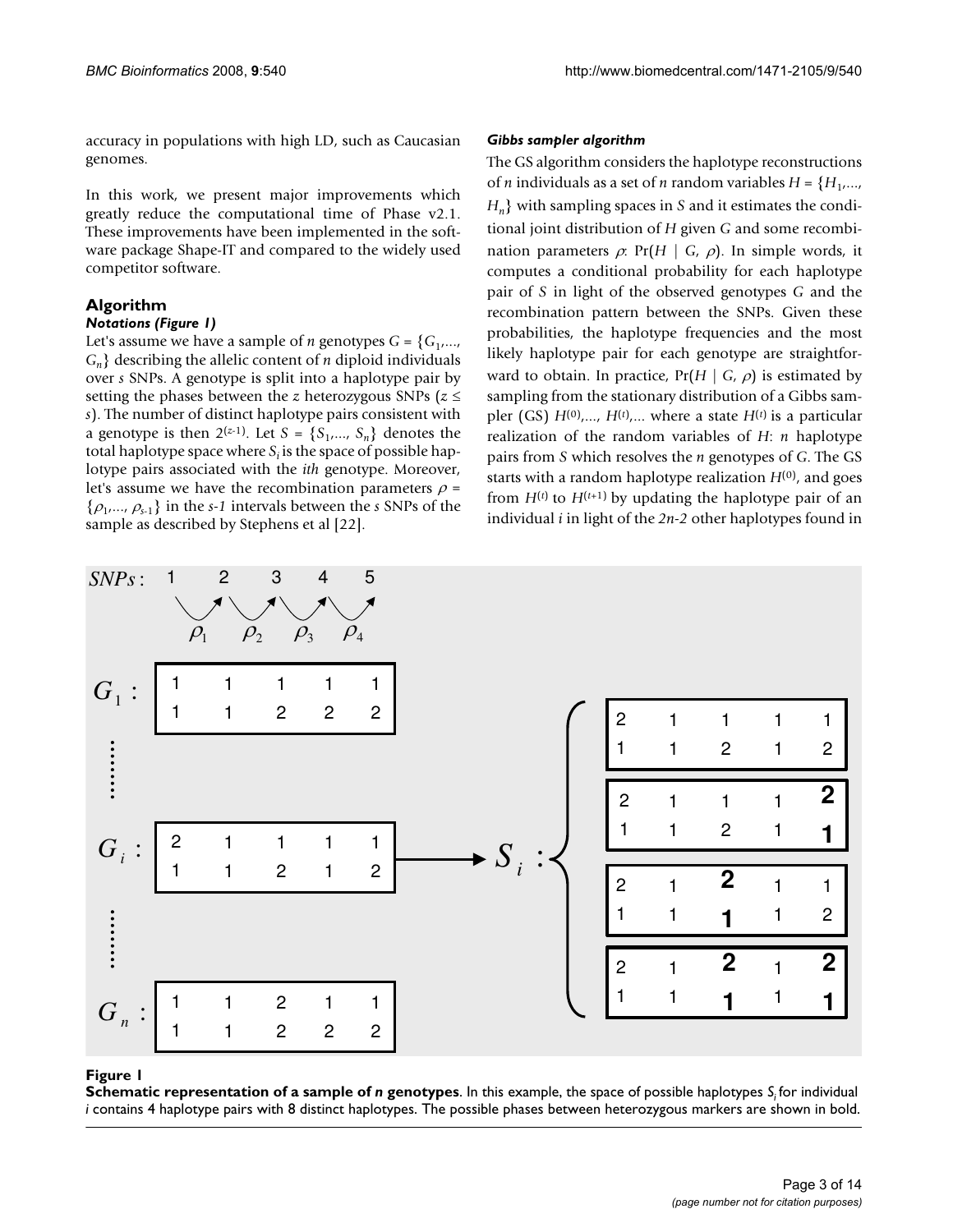accuracy in populations with high LD, such as Caucasian genomes.

In this work, we present major improvements which greatly reduce the computational time of Phase v2.1. These improvements have been implemented in the software package Shape-IT and compared to the widely used competitor software.

# **Algorithm**

### *Notations (Figure 1)*

Let's assume we have a sample of *n* genotypes  $G = \{G_1, \ldots, G_n\}$ *Gn*} describing the allelic content of *n* diploid individuals over *s* SNPs. A genotype is split into a haplotype pair by setting the phases between the *z* heterozygous SNPs (*z* ≤ *s*). The number of distinct haplotype pairs consistent with a genotype is then  $2^{(z-1)}$ . Let  $S = \{S_1, ..., S_n\}$  denotes the total haplotype space where  $S_i$  is the space of possible haplotype pairs associated with the *ith* genotype. Moreover, let's assume we have the recombination parameters  $\rho$  = {ρ1,..., <sup>ρ</sup>*s*-1} in the *s-1* intervals between the *s* SNPs of the sample as described by Stephens et al [22].

### *Gibbs sampler algorithm*

The GS algorithm considers the haplotype reconstructions of *n* individuals as a set of *n* random variables  $H = \{H_1, \ldots, H_m\}$ *Hn*} with sampling spaces in *S* and it estimates the conditional joint distribution of *H* given *G* and some recombination parameters  $\rho$ : Pr(*H* | *G*,  $\rho$ ). In simple words, it computes a conditional probability for each haplotype pair of *S* in light of the observed genotypes *G* and the recombination pattern between the SNPs. Given these probabilities, the haplotype frequencies and the most likely haplotype pair for each genotype are straightforward to obtain. In practice,  $Pr(H | G, \rho)$  is estimated by sampling from the stationary distribution of a Gibbs sampler (GS)  $H^{(0)},..., H^{(t)},...$  where a state  $H^{(t)}$  is a particular realization of the random variables of *H*: *n* haplotype pairs from *S* which resolves the *n* genotypes of *G*. The GS starts with a random haplotype realization  $H^{(0)}$ , and goes from  $H^{(t)}$  to  $H^{(t+1)}$  by updating the haplotype pair of an individual *i* in light of the *2n-2* other haplotypes found in



### **Figure 1**

**Schematic representation of a sample of** *n* **genotypes**. In this example, the space of possible haplotypes  $S_i$  for individual *i* contains 4 haplotype pairs with 8 distinct haplotypes. The possible phases between heterozygous markers are shown in bold.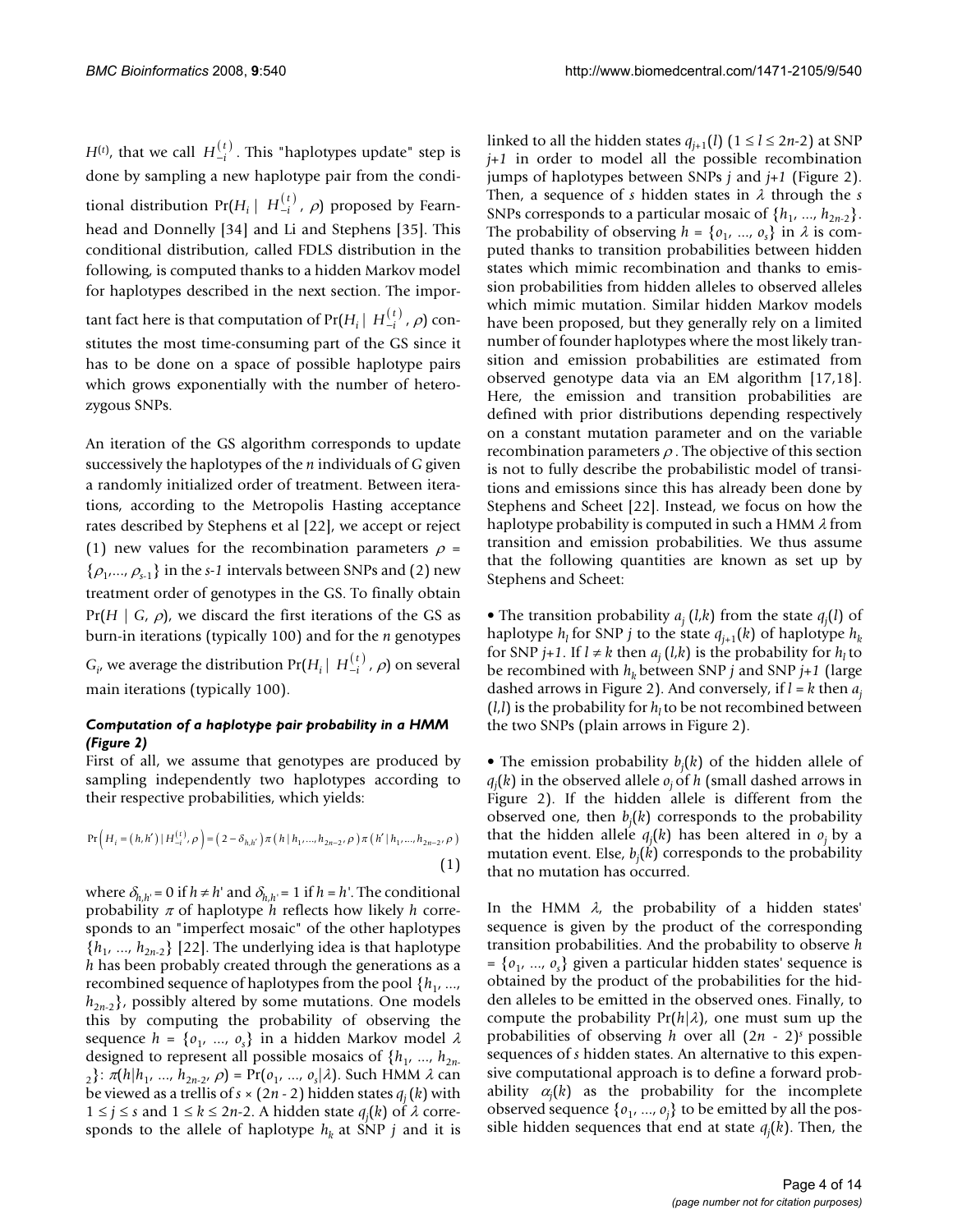zygous SNPs.

*H*<sup>(*t*)</sup>, that we call  $H_{-i}^{(t)}$ . This "haplotypes update" step is done by sampling a new haplotype pair from the conditional distribution  $Pr(H_i | H_{-i}^{(t)}, \rho)$  proposed by Fearnhead and Donnelly [34] and Li and Stephens [35]. This conditional distribution, called FDLS distribution in the following, is computed thanks to a hidden Markov model for haplotypes described in the next section. The important fact here is that computation of  $Pr(H_i \mid H_{-i}^{(t)}, \rho)$  constitutes the most time-consuming part of the GS since it has to be done on a space of possible haplotype pairs which grows exponentially with the number of hetero-

An iteration of the GS algorithm corresponds to update successively the haplotypes of the *n* individuals of *G* given a randomly initialized order of treatment. Between iterations, according to the Metropolis Hasting acceptance rates described by Stephens et al [22], we accept or reject (1) new values for the recombination parameters  $\rho$  =  $\{\rho_1,...,\rho_{s-1}\}\$  in the *s*-1 intervals between SNPs and (2) new treatment order of genotypes in the GS. To finally obtain  $Pr(H | G, \rho)$ , we discard the first iterations of the GS as burn-in iterations (typically 100) and for the *n* genotypes

 $G_i$ , we average the distribution Pr $(H_i \mid H_{-i}^{(t)} , \rho)$  on several main iterations (typically 100).

### *Computation of a haplotype pair probability in a HMM (Figure 2)*

First of all, we assume that genotypes are produced by sampling independently two haplotypes according to their respective probabilities, which yields:

$$
\Pr\left(H_i = (h, h') \mid H_{-i}^{(t)}, \rho\right) = \left(2 - \delta_{h, h'}\right) \pi\left(h \mid h_1, ..., h_{2n-2}, \rho\right) \pi\left(h' \mid h_1, ..., h_{2n-2}, \rho\right)
$$
\n(1)

where  $\delta_{h,h'} = 0$  if  $h \neq h'$  and  $\delta_{h,h'} = 1$  if  $h = h'$ . The conditional probability <sup>π</sup> of haplotype *h* reflects how likely *h* corresponds to an "imperfect mosaic" of the other haplotypes  $\{h_1, ..., h_{2n-2}\}$  [22]. The underlying idea is that haplotype *h* has been probably created through the generations as a recombined sequence of haplotypes from the pool  $\{h_1, ..., h_n\}$  $h_{2n-2}$ , possibly altered by some mutations. One models this by computing the probability of observing the sequence  $h = \{o_1, ..., o_s\}$  in a hidden Markov model  $\lambda$ designed to represent all possible mosaics of  $\{h_1, ..., h_{2n}\}$ 2}: π(*h*|*h*1, ..., *h*2*n*-2, ρ) = Pr(*o*1, ..., *os* |λ). Such HMM λ can be viewed as a trellis of  $s \times (2n - 2)$  hidden states  $q_i(k)$  with 1 ≤ *j* ≤ *s* and 1 ≤ *k* ≤ 2*n*-2. A hidden state *qj* (*k*) of λ corresponds to the allele of haplotype  $h_k$  at SNP *j* and it is

linked to all the hidden states  $q_{i+1}(l)$  ( $1 \le l \le 2n-2$ ) at SNP *j+1* in order to model all the possible recombination jumps of haplotypes between SNPs *j* and *j+1* (Figure 2). Then, a sequence of *s* hidden states in λ through the *s* SNPs corresponds to a particular mosaic of  $\{h_1, ..., h_{2n-2}\}.$ The probability of observing  $h = \{o_1, ..., o_s\}$  in  $\lambda$  is computed thanks to transition probabilities between hidden states which mimic recombination and thanks to emission probabilities from hidden alleles to observed alleles which mimic mutation. Similar hidden Markov models have been proposed, but they generally rely on a limited number of founder haplotypes where the most likely transition and emission probabilities are estimated from observed genotype data via an EM algorithm [17,18]. Here, the emission and transition probabilities are defined with prior distributions depending respectively on a constant mutation parameter and on the variable recombination parameters  $\rho$ . The objective of this section is not to fully describe the probabilistic model of transitions and emissions since this has already been done by Stephens and Scheet [22]. Instead, we focus on how the haplotype probability is computed in such a HMM  $\lambda$  from transition and emission probabilities. We thus assume that the following quantities are known as set up by Stephens and Scheet:

• The transition probability  $a_j(l,k)$  from the state  $q_j(l)$  of haplotype  $h_i$  for SNP *j* to the state  $q_{i+1}(k)$  of haplotype  $h_k$ for SNP *j*+1. If  $l \neq k$  then  $a_i$  (*l*,*k*) is the probability for  $h_l$  to be recombined with *hk* between SNP *j* and SNP *j+1* (large dashed arrows in Figure 2). And conversely, if  $l = k$  then  $a_i$  $(l, l)$  is the probability for  $h<sub>l</sub>$  to be not recombined between the two SNPs (plain arrows in Figure 2).

• The emission probability *bj* (*k*) of the hidden allele of *qj* (*k*) in the observed allele *oj* of *h* (small dashed arrows in Figure 2). If the hidden allele is different from the observed one, then *bj* (*k*) corresponds to the probability that the hidden allele *qj* (*k*) has been altered in *oj* by a mutation event. Else, *bj* (*k*) corresponds to the probability that no mutation has occurred.

In the HMM  $\lambda$ , the probability of a hidden states' sequence is given by the product of the corresponding transition probabilities. And the probability to observe *h* = {*o*1, ..., *os* } given a particular hidden states' sequence is obtained by the product of the probabilities for the hidden alleles to be emitted in the observed ones. Finally, to compute the probability  $Pr(h|\lambda)$ , one must sum up the probabilities of observing *h* over all  $(2n - 2)$ <sup>s</sup> possible sequences of *s* hidden states. An alternative to this expensive computational approach is to define a forward probability <sup>α</sup>*<sup>j</sup>* (*k*) as the probability for the incomplete observed sequence  $\{o_1, ..., o_j\}$  to be emitted by all the possible hidden sequences that end at state *qj* (*k*). Then, the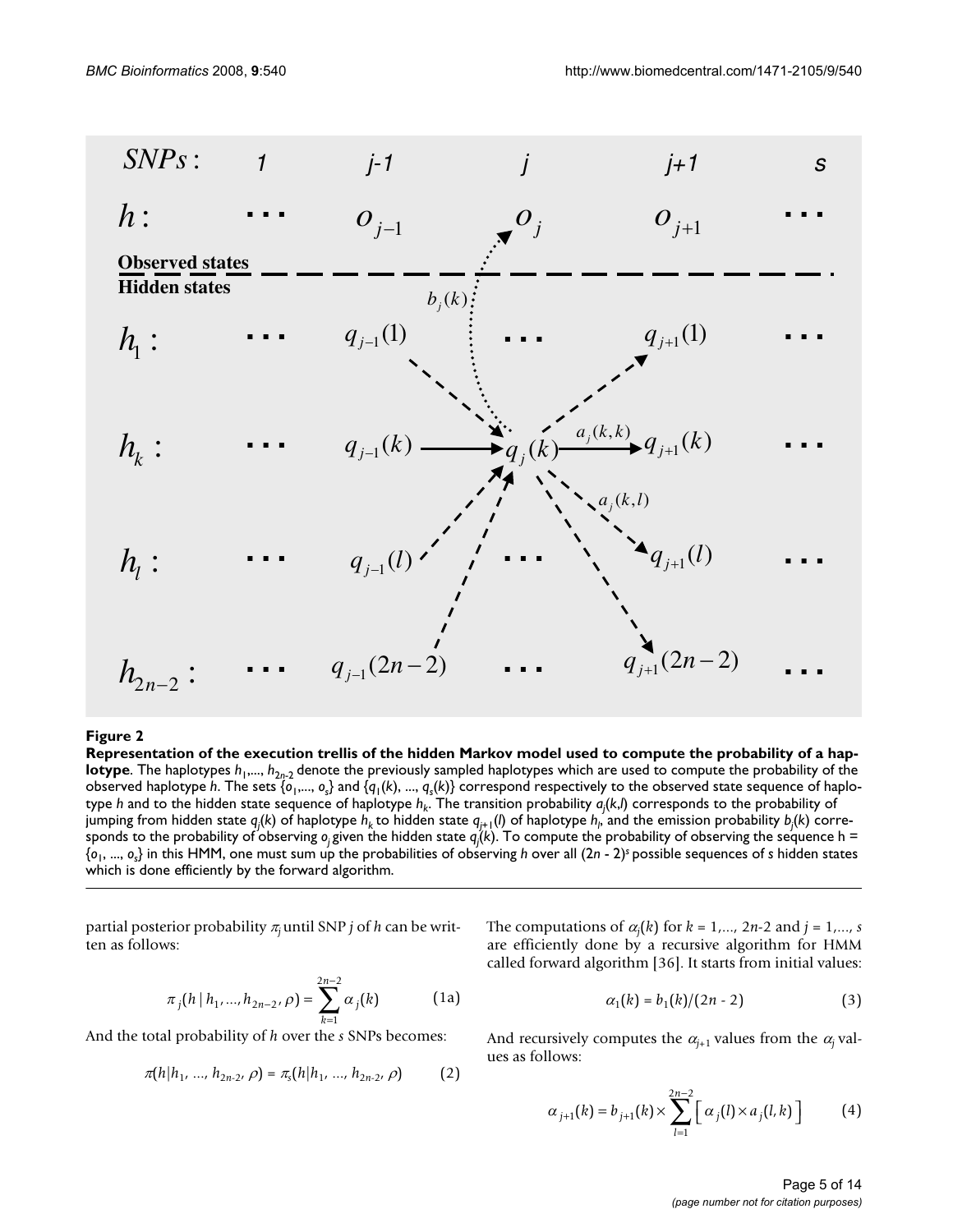

### Representation of the execution trellis **Figure 2** of the hidden Markov model used to compute the probability of a haplotype

**Representation of the execution trellis of the hidden Markov model used to compute the probability of a haplotype**. The haplotypes  $h_1,..., h_{2n-2}$  denote the previously sampled haplotypes which are used to compute the probability of the observed haplotype *h*. The sets { $o_1$ ,...,  $o_s$ } and { $q_1(k)$ , ...,  $q_s(k)$ } correspond respectively to the observed state sequence of haplotype *h* and to the hidden state sequence of haplotype  $h_k$ . The transition probability  $a_j(k,l)$  corresponds to the probability of jumping from hidden state  $q_j(k)$  of haplotype  $h_k$  to hidden state  $q_{j+1}(l)$  of haplotype  $h_{\rho}$  and the emission probability  $b_j(k)$  corresponds to the probability of observing *oj* given the hidden state *qj* (*k*). To compute the probability of observing the sequence h = {*o*1, ..., *os*} in this HMM, one must sum up the probabilities of observing *h* over all (2*n* - 2)*<sup>s</sup>*possible sequences of *s* hidden states which is done efficiently by the forward algorithm.

partial posterior probability <sup>π</sup>*j* until SNP *j* of *h* can be written as follows:

$$
\pi_j(h \mid h_1, ..., h_{2n-2}, \rho) = \sum_{k=1}^{2n-2} \alpha_j(k) \tag{1a}
$$

And the total probability of *h* over the *s* SNPs becomes:

$$
\pi(h|h_1, ..., h_{2n-2}, \rho) = \pi_s(h|h_1, ..., h_{2n-2}, \rho) \tag{2}
$$

The computations of  $\alpha_j(k)$  for  $k = 1,..., 2n-2$  and  $j = 1,..., s$ are efficiently done by a recursive algorithm for HMM called forward algorithm [36]. It starts from initial values:

$$
\alpha_1(k) = b_1(k)/(2n-2)
$$
 (3)

And recursively computes the  $\alpha_{j+1}$  values from the  $\alpha_j$  values as follows:

$$
\alpha_{j+1}(k) = b_{j+1}(k) \times \sum_{l=1}^{2n-2} \left[ \alpha_j(l) \times a_j(l, k) \right]
$$
 (4)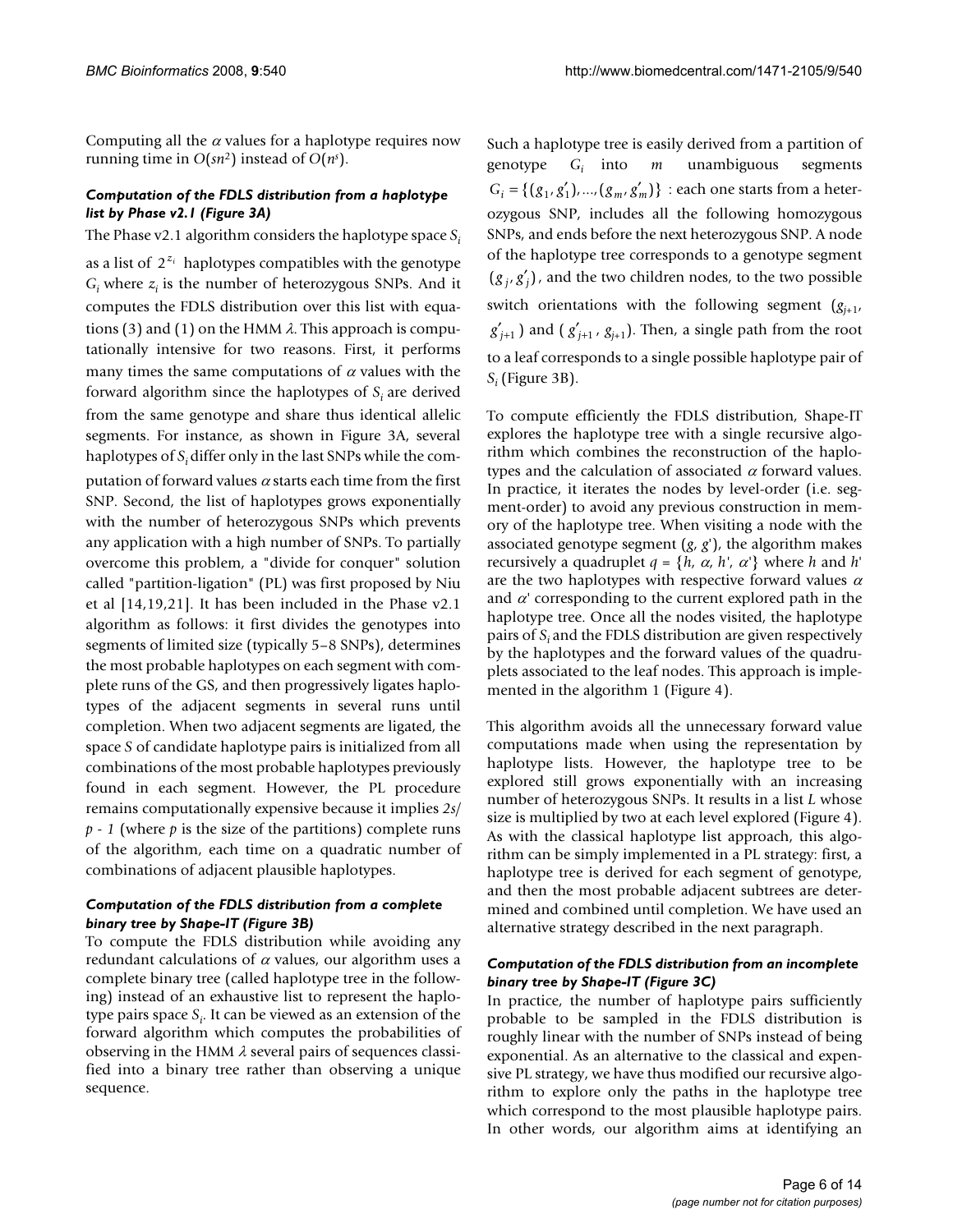Computing all the  $\alpha$  values for a haplotype requires now running time in *O*(*sn*2) instead of *O*(*ns* ).

### *Computation of the FDLS distribution from a haplotype list by Phase v2.1 (Figure 3A)*

The Phase v2.1 algorithm considers the haplotype space  $S_i$ 

as a list of  $2^{z_i}$  haplotypes compatibles with the genotype  $G_i$  where  $z_i$  is the number of heterozygous SNPs. And it computes the FDLS distribution over this list with equations (3) and (1) on the HMM  $\lambda$ . This approach is computationally intensive for two reasons. First, it performs many times the same computations of  $\alpha$  values with the forward algorithm since the haplotypes of *Si* are derived from the same genotype and share thus identical allelic segments. For instance, as shown in Figure 3A, several haplotypes of *Si* differ only in the last SNPs while the computation of forward values  $\alpha$  starts each time from the first SNP. Second, the list of haplotypes grows exponentially with the number of heterozygous SNPs which prevents any application with a high number of SNPs. To partially overcome this problem, a "divide for conquer" solution called "partition-ligation" (PL) was first proposed by Niu et al [14,19,21]. It has been included in the Phase v2.1 algorithm as follows: it first divides the genotypes into segments of limited size (typically 5–8 SNPs), determines the most probable haplotypes on each segment with complete runs of the GS, and then progressively ligates haplotypes of the adjacent segments in several runs until completion. When two adjacent segments are ligated, the space *S* of candidate haplotype pairs is initialized from all combinations of the most probable haplotypes previously found in each segment. However, the PL procedure remains computationally expensive because it implies *2s/ p - 1* (where *p* is the size of the partitions) complete runs of the algorithm, each time on a quadratic number of combinations of adjacent plausible haplotypes.

### *Computation of the FDLS distribution from a complete binary tree by Shape-IT (Figure 3B)*

To compute the FDLS distribution while avoiding any redundant calculations of  $\alpha$  values, our algorithm uses a complete binary tree (called haplotype tree in the following) instead of an exhaustive list to represent the haplotype pairs space *Si* . It can be viewed as an extension of the forward algorithm which computes the probabilities of observing in the HMM  $\lambda$  several pairs of sequences classified into a binary tree rather than observing a unique sequence.

Such a haplotype tree is easily derived from a partition of genotype *Gi* into *m* unambiguous segments  $G_i = \{ (g_1, g'_1), ..., (g_m, g'_m) \}$  : each one starts from a heterozygous SNP, includes all the following homozygous SNPs, and ends before the next heterozygous SNP. A node of the haplotype tree corresponds to a genotype segment  $(g_j, g'_j)$ , and the two children nodes, to the two possible switch orientations with the following segment  $(g_{i+1}, g_{i+1})$  $(g'_{j+1})$  and  $(g'_{j+1}, g_{j+1})$ . Then, a single path from the root to a leaf corresponds to a single possible haplotype pair of *Si* (Figure 3B).

To compute efficiently the FDLS distribution, Shape-IT explores the haplotype tree with a single recursive algorithm which combines the reconstruction of the haplotypes and the calculation of associated  $\alpha$  forward values. In practice, it iterates the nodes by level-order (i.e. segment-order) to avoid any previous construction in memory of the haplotype tree. When visiting a node with the associated genotype segment (*g*, *g*'), the algorithm makes recursively a quadruplet  $q = \{h, \alpha, h', \alpha'\}$  where  $h$  and  $h'$ are the two haplotypes with respective forward values  $\alpha$ and  $\alpha'$  corresponding to the current explored path in the haplotype tree. Once all the nodes visited, the haplotype pairs of *Si* and the FDLS distribution are given respectively by the haplotypes and the forward values of the quadruplets associated to the leaf nodes. This approach is implemented in the algorithm 1 (Figure 4).

This algorithm avoids all the unnecessary forward value computations made when using the representation by haplotype lists. However, the haplotype tree to be explored still grows exponentially with an increasing number of heterozygous SNPs. It results in a list *L* whose size is multiplied by two at each level explored (Figure 4). As with the classical haplotype list approach, this algorithm can be simply implemented in a PL strategy: first, a haplotype tree is derived for each segment of genotype, and then the most probable adjacent subtrees are determined and combined until completion. We have used an alternative strategy described in the next paragraph.

### *Computation of the FDLS distribution from an incomplete binary tree by Shape-IT (Figure 3C)*

In practice, the number of haplotype pairs sufficiently probable to be sampled in the FDLS distribution is roughly linear with the number of SNPs instead of being exponential. As an alternative to the classical and expensive PL strategy, we have thus modified our recursive algorithm to explore only the paths in the haplotype tree which correspond to the most plausible haplotype pairs. In other words, our algorithm aims at identifying an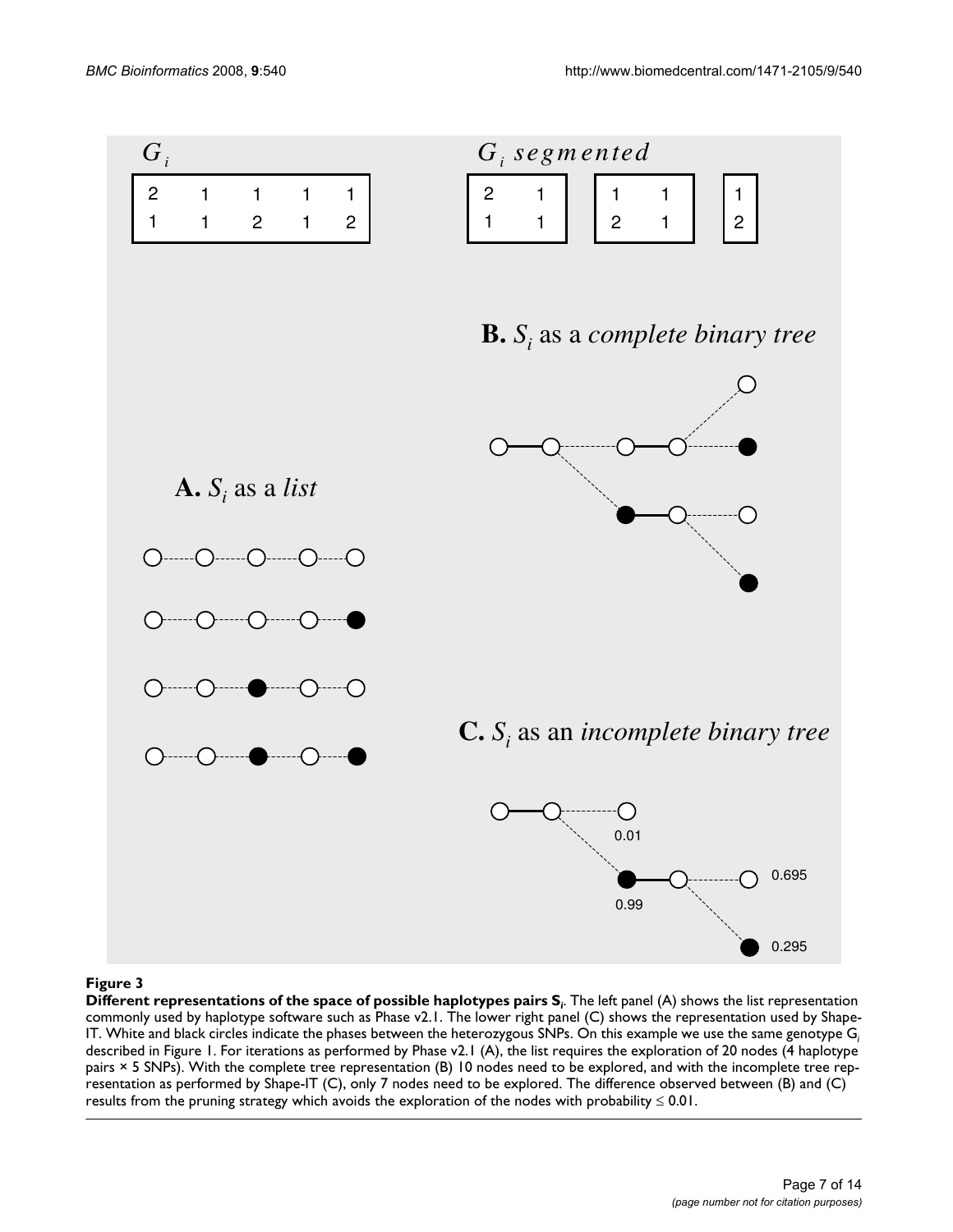

### Different representations of the space of possible haplotypes pairs S **Figure 3** *<sup>i</sup>*

**Different representations of the space of possible haplotypes pairs S***<sup>i</sup>* . The left panel (A) shows the list representation commonly used by haplotype software such as Phase v2.1. The lower right panel (C) shows the representation used by Shape-IT. White and black circles indicate the phases between the heterozygous SNPs. On this example we use the same genotype G*<sup>i</sup>* described in Figure 1. For iterations as performed by Phase v2.1 (A), the list requires the exploration of 20 nodes (4 haplotype pairs × 5 SNPs). With the complete tree representation (B) 10 nodes need to be explored, and with the incomplete tree representation as performed by Shape-IT (C), only 7 nodes need to be explored. The difference observed between (B) and (C) results from the pruning strategy which avoids the exploration of the nodes with probability ≤ 0.01.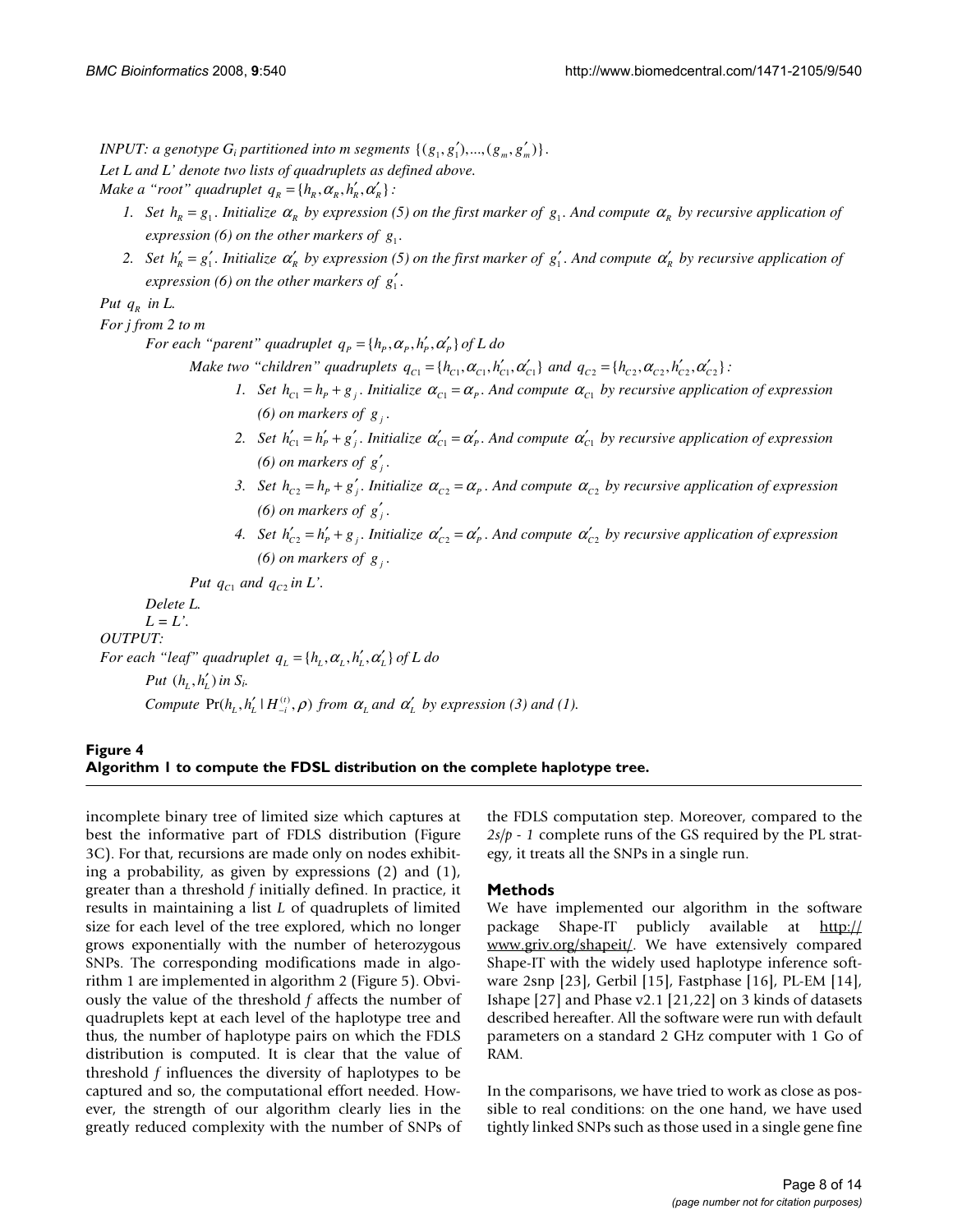*INPUT: a genotype G<sub>i</sub> partitioned into m segments*  $\{(g_1, g'_1), ..., (g_m, g'_m)\}.$ *Let L and L' denote two lists of quadruplets as defined above. Make a "root" quadruplet*  $q_R = \{h_R, \alpha_R, h'_R, \alpha'_R\}$ :

- *1.* Set  $h_R = g_1$ . Initialize  $\alpha_R$  by expression (5) on the first marker of  $g_1$ . And compute  $\alpha_R$  by recursive application of *expression (6) on the other markers of*  $g_1$ *.*
- 2. Set  $h'_R = g'_1$ . Initialize  $\alpha'_R$  by expression (5) on the first marker of  $g'_1$ . And compute  $\alpha'_R$  by recursive application of *expression (6) on the other markers of*  $g'_{1}$ *.*

*Put*  $q_R$  *in L.* 

*For j from 2 to m* 

*For each "parent" quadruplet*  $q_p = \{h_p, \alpha_p, h'_p, \alpha'_p\}$  *of L do* 

*Make two "children" quadruplets*  $q_{C1} = \{h_{C1}, \alpha_{C1}, h'_{C1}, \alpha'_{C1}\}$  *and*  $q_{C2} = \{h_{C2}, \alpha_{C2}, h'_{C2}, \alpha'_{C2}\}$ :

- *1.* Set  $h_{C_1} = h_p + g_p$ . Initialize  $\alpha_{C_1} = \alpha_p$ . And compute  $\alpha_{C_1}$  by recursive application of expression *(6) on markers of g.*
- *2.* Set  $h'_{C_1} = h'_P + g'_P$ . Initialize  $\alpha'_{C_1} = \alpha'_{P}$ . And compute  $\alpha'_{C_1}$  by recursive application of expression *(6) on markers of*  $g'$ .
- *3.* Set  $h_c = h_p + g'$ . Initialize  $\alpha_c = \alpha_p$ . And compute  $\alpha_c$ , by recursive application of expression *(6) on markers of*  $g'$ *.*
- *4.* Set  $h'_{C_2} = h'_p + g_i$ . Initialize  $\alpha'_{C_2} = \alpha'_p$ . And compute  $\alpha'_{C_2}$  by recursive application of expression *(6) on markers of g<sub>i</sub>*.

Put  $q_{c1}$  and  $q_{c2}$  *in L'.* 

 *Delete L.* 

 $L = L'$ 

*OUTPUT:* 

*For each "leaf" quadruplet*  $q_L = \{h_L, \alpha_L, h'_L, \alpha'_L\}$  of L do

```
Put (h, h') in S<sub>i</sub>.
```
*Compute*  $Pr(h_L, h'_L | H_{-i}^{(t)}, \rho)$  *from*  $\alpha_L$  *and*  $\alpha'_L$  *by expression* (3) *and* (1).

### Algorithm 1 to compute the FDSL distri **Figure 4** bution on the complete haplotype tree **Algorithm 1 to compute the FDSL distribution on the complete haplotype tree.**

incomplete binary tree of limited size which captures at best the informative part of FDLS distribution (Figure 3C). For that, recursions are made only on nodes exhibiting a probability, as given by expressions (2) and (1), greater than a threshold *f* initially defined. In practice, it results in maintaining a list *L* of quadruplets of limited size for each level of the tree explored, which no longer grows exponentially with the number of heterozygous SNPs. The corresponding modifications made in algorithm 1 are implemented in algorithm 2 (Figure 5). Obviously the value of the threshold *f* affects the number of quadruplets kept at each level of the haplotype tree and thus, the number of haplotype pairs on which the FDLS distribution is computed. It is clear that the value of threshold *f* influences the diversity of haplotypes to be captured and so, the computational effort needed. However, the strength of our algorithm clearly lies in the greatly reduced complexity with the number of SNPs of the FDLS computation step. Moreover, compared to the *2s/p - 1* complete runs of the GS required by the PL strategy, it treats all the SNPs in a single run.

### **Methods**

We have implemented our algorithm in the software package Shape-IT publicly available at [http://](http://www.griv.org/shapeit/) [www.griv.org/shapeit/.](http://www.griv.org/shapeit/) We have extensively compared Shape-IT with the widely used haplotype inference software 2snp [23], Gerbil [15], Fastphase [16], PL-EM [14], Ishape [27] and Phase v2.1 [21,22] on 3 kinds of datasets described hereafter. All the software were run with default parameters on a standard 2 GHz computer with 1 Go of RAM.

In the comparisons, we have tried to work as close as possible to real conditions: on the one hand, we have used tightly linked SNPs such as those used in a single gene fine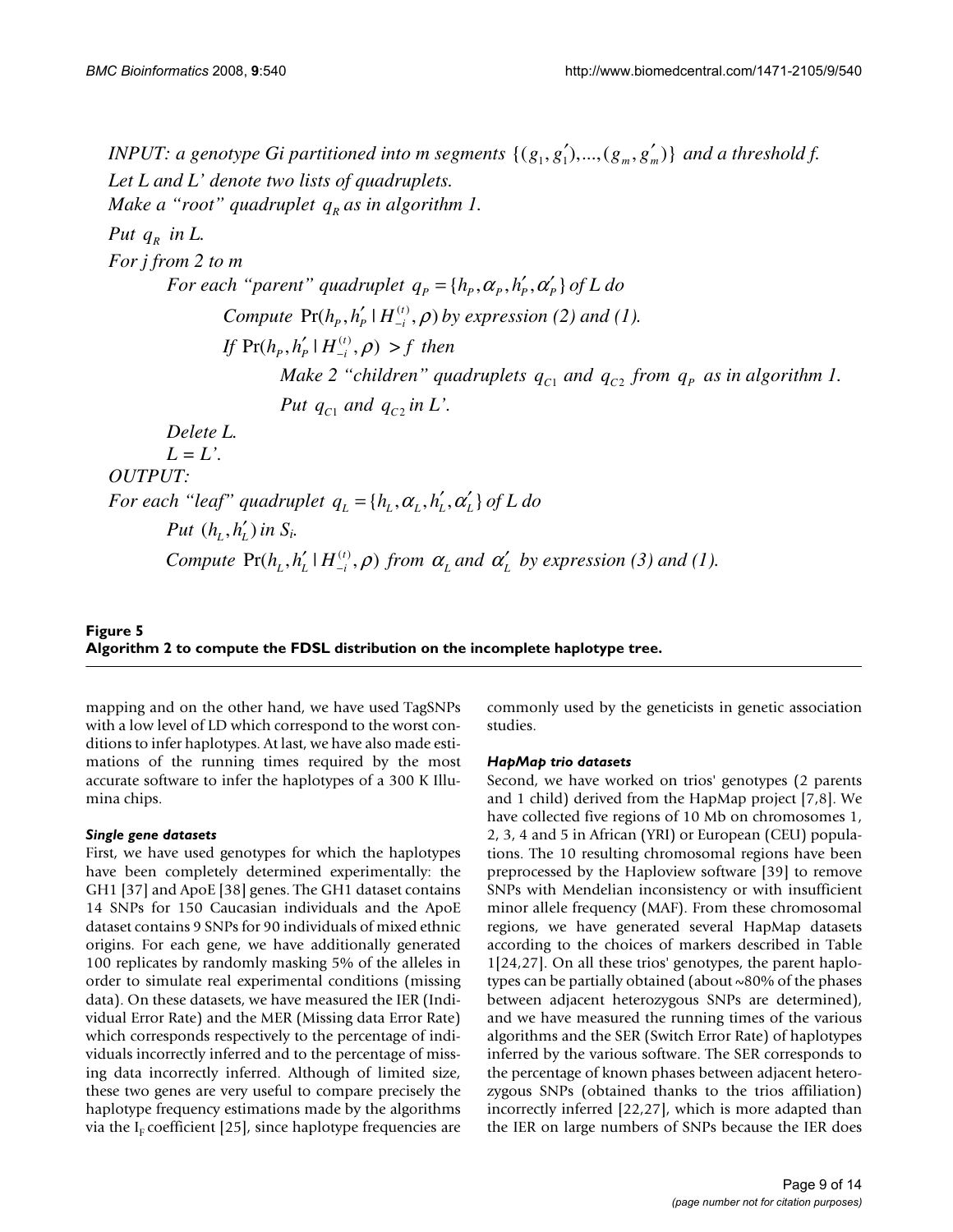*INPUT: a genotype Gi partitioned into m segments*  $\{(g_1, g'_1), ..., (g_m, g'_m)\}\$ and a threshold f. *Let L and L' denote two lists of quadruplets. Make a "root" quadruplet*  $q_R$  *as in algorithm 1. Put*  $q_{R}$  *in L. For j from 2 to m For each "parent" quadruplet*  $q_p = \{h_p, \alpha_p, h'_p, \alpha'_p\}$  *of L do Compute*  $Pr(h_p, h'_p \mid H_{-i}^{(t)}, \rho)$  by expression (2) and (1). *If*  $Pr(h_p, h'_p \mid H_{-i}^{(t)}, \rho) > f$  then *Make 2 "children" quadruplets*  $q_{c1}$  *and*  $q_{c2}$  *from*  $q_p$  *as in algorithm 1. Put*  $q_{c1}$  *and*  $q_{c2}$  *in L'. Delete L.*   $L = L'$ . *OUTPUT: For each "leaf" quadruplet*  $q_L = \{h_L, \alpha_L, h'_L, \alpha'_L\}$  of L do *Put*  $(h_i, h'_i)$  *in*  $S_i$ . *Compute*  $Pr(h_L, h'_L | H_{-i}^{(t)}, \rho)$  *from*  $\alpha_L$  *and*  $\alpha'_L$  *by expression* (3) *and* (1).

## Algorithm 2 to compute the FDSL distribu **Figure 5** tion on the incomplete haplotype tree **Algorithm 2 to compute the FDSL distribution on the incomplete haplotype tree.**

mapping and on the other hand, we have used TagSNPs with a low level of LD which correspond to the worst conditions to infer haplotypes. At last, we have also made estimations of the running times required by the most accurate software to infer the haplotypes of a 300 K Illumina chips.

### *Single gene datasets*

First, we have used genotypes for which the haplotypes have been completely determined experimentally: the GH1 [37] and ApoE [38] genes. The GH1 dataset contains 14 SNPs for 150 Caucasian individuals and the ApoE dataset contains 9 SNPs for 90 individuals of mixed ethnic origins. For each gene, we have additionally generated 100 replicates by randomly masking 5% of the alleles in order to simulate real experimental conditions (missing data). On these datasets, we have measured the IER (Individual Error Rate) and the MER (Missing data Error Rate) which corresponds respectively to the percentage of individuals incorrectly inferred and to the percentage of missing data incorrectly inferred. Although of limited size, these two genes are very useful to compare precisely the haplotype frequency estimations made by the algorithms via the I<sub>F</sub> coefficient [25], since haplotype frequencies are commonly used by the geneticists in genetic association studies.

### *HapMap trio datasets*

Second, we have worked on trios' genotypes (2 parents and 1 child) derived from the HapMap project [7,8]. We have collected five regions of 10 Mb on chromosomes 1, 2, 3, 4 and 5 in African (YRI) or European (CEU) populations. The 10 resulting chromosomal regions have been preprocessed by the Haploview software [39] to remove SNPs with Mendelian inconsistency or with insufficient minor allele frequency (MAF). From these chromosomal regions, we have generated several HapMap datasets according to the choices of markers described in Table 1[24,27]. On all these trios' genotypes, the parent haplotypes can be partially obtained (about ~80% of the phases between adjacent heterozygous SNPs are determined), and we have measured the running times of the various algorithms and the SER (Switch Error Rate) of haplotypes inferred by the various software. The SER corresponds to the percentage of known phases between adjacent heterozygous SNPs (obtained thanks to the trios affiliation) incorrectly inferred [22,27], which is more adapted than the IER on large numbers of SNPs because the IER does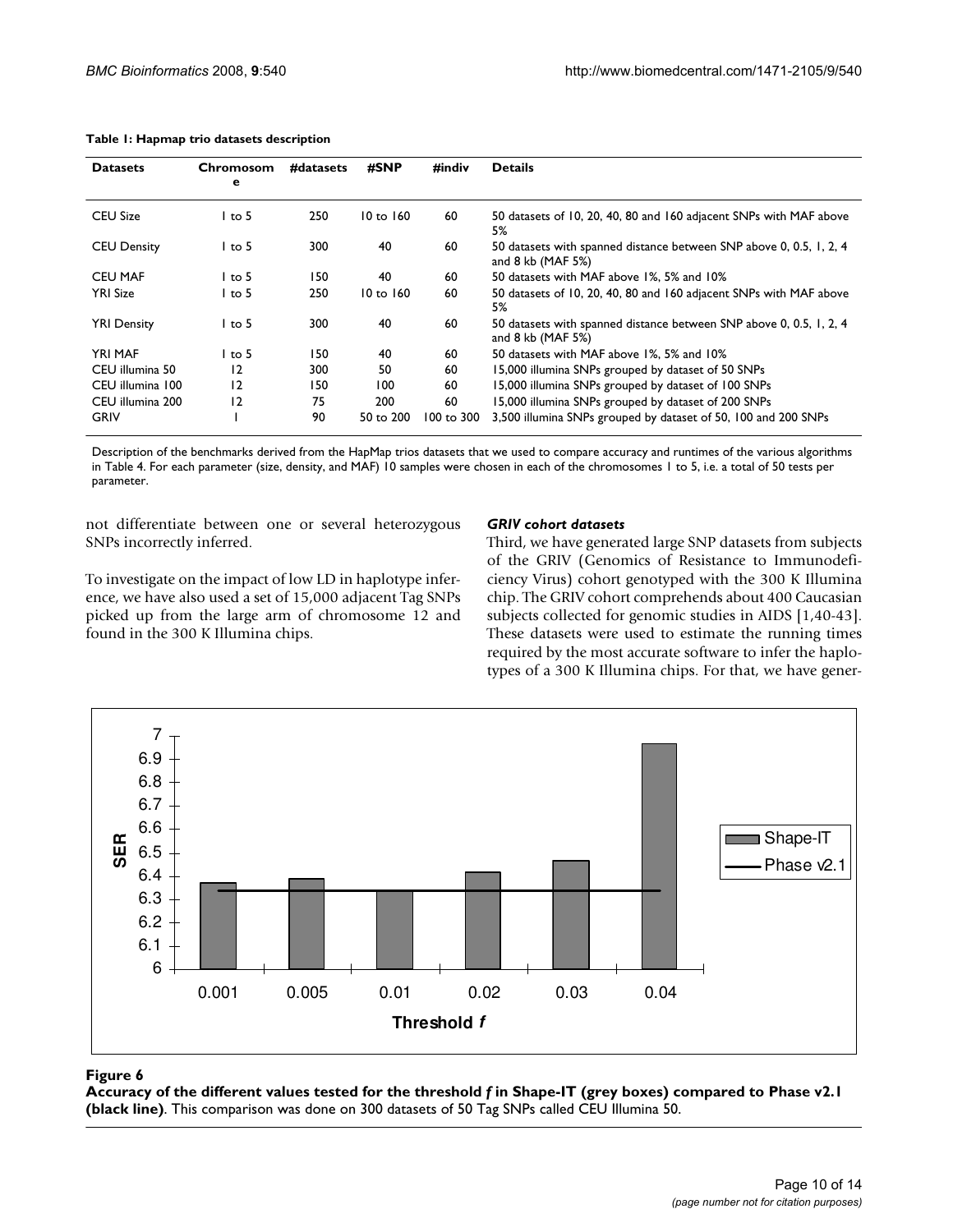| <b>Datasets</b>    | Chromosom<br>е | #datasets | #SNP      | #indiv     | <b>Details</b>                                                                                 |
|--------------------|----------------|-----------|-----------|------------|------------------------------------------------------------------------------------------------|
| <b>CEU Size</b>    | $1$ to 5       | 250       | 10 to 160 | 60         | 50 datasets of 10, 20, 40, 80 and 160 adjacent SNPs with MAF above<br>5%                       |
| <b>CEU Density</b> | $1$ to 5       | 300       | 40        | 60         | 50 datasets with spanned distance between SNP above 0, 0.5, 1, 2, 4<br>and $8$ kb (MAF $5\%$ ) |
| <b>CEU MAF</b>     | $1$ to 5       | 150       | 40        | 60         | 50 datasets with MAF above 1%, 5% and 10%                                                      |
| <b>YRI Size</b>    | l to 5         | 250       | 10 to 160 | 60         | 50 datasets of 10, 20, 40, 80 and 160 adjacent SNPs with MAF above<br>5%                       |
| <b>YRI Density</b> | l to 5         | 300       | 40        | 60         | 50 datasets with spanned distance between SNP above 0, 0.5, 1, 2, 4<br>and $8$ kb (MAF $5\%$ ) |
| <b>YRI MAF</b>     | l to 5         | 150       | 40        | 60         | 50 datasets with MAF above 1%, 5% and 10%                                                      |
| CEU illumina 50    | 12             | 300       | 50        | 60         | 15,000 illumina SNPs grouped by dataset of 50 SNPs                                             |
| CEU illumina 100   | 12             | 150       | 100       | 60         | 15,000 illumina SNPs grouped by dataset of 100 SNPs                                            |
| CEU illumina 200   | 12             | 75        | 200       | 60         | 15,000 illumina SNPs grouped by dataset of 200 SNPs                                            |
| GRIV               |                | 90        | 50 to 200 | 100 to 300 | 3,500 illumina SNPs grouped by dataset of 50, 100 and 200 SNPs                                 |

#### **Table 1: Hapmap trio datasets description**

Description of the benchmarks derived from the HapMap trios datasets that we used to compare accuracy and runtimes of the various algorithms in Table 4. For each parameter (size, density, and MAF) 10 samples were chosen in each of the chromosomes 1 to 5, i.e. a total of 50 tests per parameter.

not differentiate between one or several heterozygous SNPs incorrectly inferred.

found in the 300 K Illumina chips.

### *GRIV cohort datasets*

To investigate on the impact of low LD in haplotype inference, we have also used a set of 15,000 adjacent Tag SNPs picked up from the large arm of chromosome 12 and Third, we have generated large SNP datasets from subjects of the GRIV (Genomics of Resistance to Immunodeficiency Virus) cohort genotyped with the 300 K Illumina chip. The GRIV cohort comprehends about 400 Caucasian subjects collected for genomic studies in AIDS [1,40-43]. These datasets were used to estimate the running times required by the most accurate software to infer the haplotypes of a 300 K Illumina chips. For that, we have gener-



### **Figure 6** Accuracy of the different values tested for the threshold *f* in Shape-IT (grey boxes) compared to Phase v2.1 (black line)

**Accuracy of the different values tested for the threshold** *f* **in Shape-IT (grey boxes) compared to Phase v2.1 (black line)**. This comparison was done on 300 datasets of 50 Tag SNPs called CEU Illumina 50.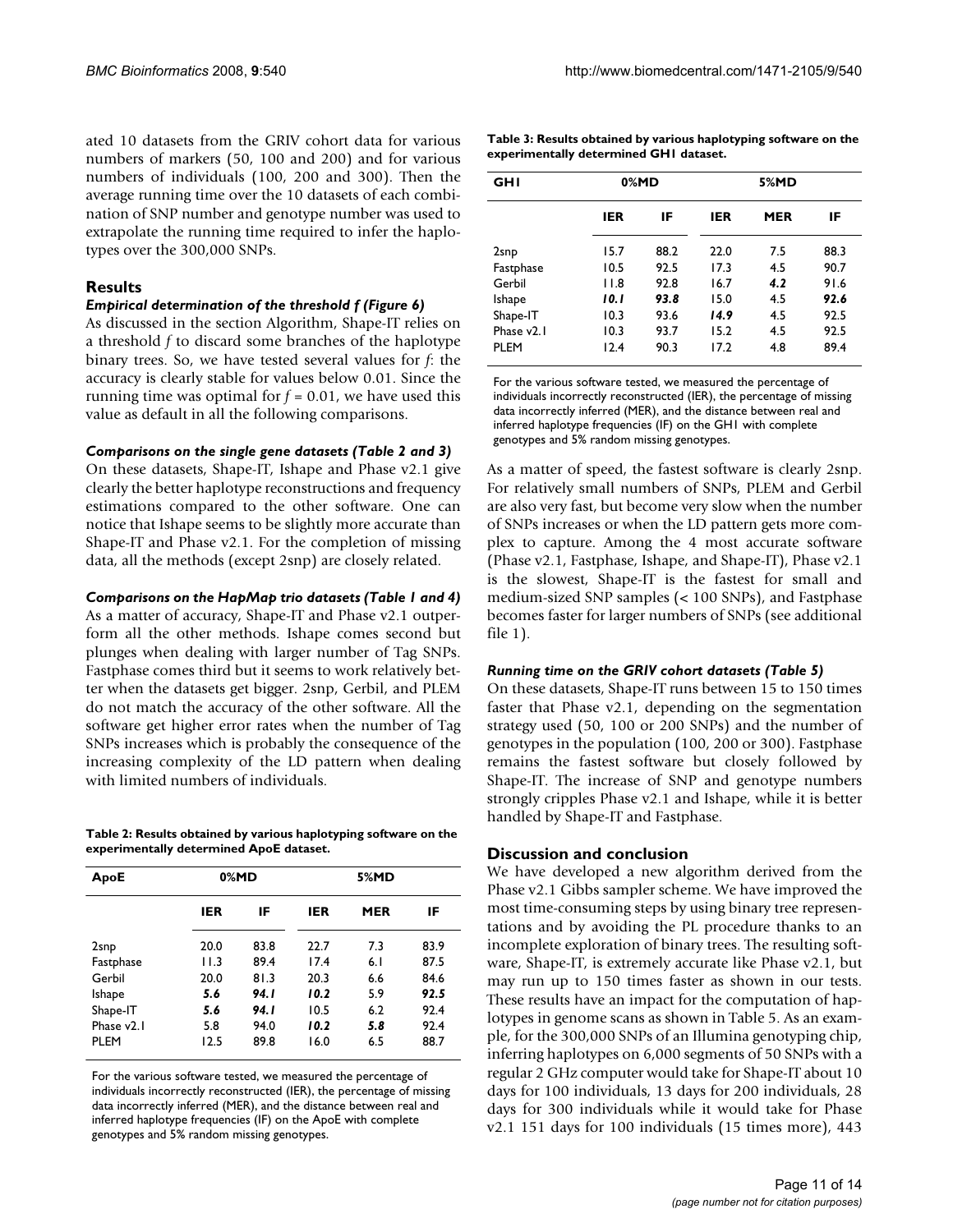ated 10 datasets from the GRIV cohort data for various numbers of markers (50, 100 and 200) and for various numbers of individuals (100, 200 and 300). Then the average running time over the 10 datasets of each combination of SNP number and genotype number was used to extrapolate the running time required to infer the haplotypes over the 300,000 SNPs.

### **Results**

### *Empirical determination of the threshold f (Figure 6)*

As discussed in the section Algorithm, Shape-IT relies on a threshold *f* to discard some branches of the haplotype binary trees. So, we have tested several values for *f*: the accuracy is clearly stable for values below 0.01. Since the running time was optimal for  $f = 0.01$ , we have used this value as default in all the following comparisons.

### *Comparisons on the single gene datasets (Table 2 and 3)*

On these datasets, Shape-IT, Ishape and Phase v2.1 give clearly the better haplotype reconstructions and frequency estimations compared to the other software. One can notice that Ishape seems to be slightly more accurate than Shape-IT and Phase v2.1. For the completion of missing data, all the methods (except 2snp) are closely related.

### *Comparisons on the HapMap trio datasets (Table 1 and 4)*

As a matter of accuracy, Shape-IT and Phase v2.1 outperform all the other methods. Ishape comes second but plunges when dealing with larger number of Tag SNPs. Fastphase comes third but it seems to work relatively better when the datasets get bigger. 2snp, Gerbil, and PLEM do not match the accuracy of the other software. All the software get higher error rates when the number of Tag SNPs increases which is probably the consequence of the increasing complexity of the LD pattern when dealing with limited numbers of individuals.

**Table 2: Results obtained by various haplotyping software on the experimentally determined ApoE dataset.**

|      |       | 5%MD |     |      |  |  |
|------|-------|------|-----|------|--|--|
| IER  | IF    | IER  | MER | IF   |  |  |
| 20.0 | 83.8  | 22.7 | 7.3 | 83.9 |  |  |
| 11.3 | 89.4  | 17.4 | 6.1 | 87.5 |  |  |
| 20.0 | 81.3  | 20.3 | 6.6 | 84.6 |  |  |
| 5.6  | 94. I | 10.2 | 5.9 | 92.5 |  |  |
| 5.6  | 94. I | 10.5 | 6.2 | 92.4 |  |  |
| 5.8  | 94.0  | 10.2 | 5.8 | 92.4 |  |  |
| 12.5 | 89.8  | 16.0 | 6.5 | 88.7 |  |  |
|      |       | 0%MD |     |      |  |  |

For the various software tested, we measured the percentage of individuals incorrectly reconstructed (IER), the percentage of missing data incorrectly inferred (MER), and the distance between real and inferred haplotype frequencies (IF) on the ApoE with complete genotypes and 5% random missing genotypes.

| Table 3: Results obtained by various haplotyping software on the |
|------------------------------------------------------------------|
| experimentally determined GHI dataset.                           |

| GHI                    |       | 0%MD |      | 5%MD |      |
|------------------------|-------|------|------|------|------|
|                        | IER   | IF   | IER  | MER  | IF   |
| 2snp                   | 15.7  | 88.2 | 22.0 | 7.5  | 88.3 |
| Fastphase              | 10.5  | 92.5 | 17.3 | 4.5  | 90.7 |
| Gerbil                 | 11.8  | 92.8 | 16.7 | 4.2  | 91.6 |
| Ishape                 | 10. I | 93.8 | 15.0 | 4.5  | 92.6 |
| Shape-IT               | 10.3  | 93.6 | 14.9 | 4.5  | 92.5 |
| Phase v <sub>2.1</sub> | 10.3  | 93.7 | 15.2 | 4.5  | 92.5 |
| <b>PLEM</b>            | 12.4  | 90.3 | 17.2 | 4.8  | 89.4 |

For the various software tested, we measured the percentage of individuals incorrectly reconstructed (IER), the percentage of missing data incorrectly inferred (MER), and the distance between real and inferred haplotype frequencies (IF) on the GH1 with complete genotypes and 5% random missing genotypes.

As a matter of speed, the fastest software is clearly 2snp. For relatively small numbers of SNPs, PLEM and Gerbil are also very fast, but become very slow when the number of SNPs increases or when the LD pattern gets more complex to capture. Among the 4 most accurate software (Phase v2.1, Fastphase, Ishape, and Shape-IT), Phase v2.1 is the slowest, Shape-IT is the fastest for small and medium-sized SNP samples (< 100 SNPs), and Fastphase becomes faster for larger numbers of SNPs (see additional file 1).

### *Running time on the GRIV cohort datasets (Table 5)*

On these datasets, Shape-IT runs between 15 to 150 times faster that Phase v2.1, depending on the segmentation strategy used (50, 100 or 200 SNPs) and the number of genotypes in the population (100, 200 or 300). Fastphase remains the fastest software but closely followed by Shape-IT. The increase of SNP and genotype numbers strongly cripples Phase v2.1 and Ishape, while it is better handled by Shape-IT and Fastphase.

### **Discussion and conclusion**

We have developed a new algorithm derived from the Phase v2.1 Gibbs sampler scheme. We have improved the most time-consuming steps by using binary tree representations and by avoiding the PL procedure thanks to an incomplete exploration of binary trees. The resulting software, Shape-IT, is extremely accurate like Phase v2.1, but may run up to 150 times faster as shown in our tests. These results have an impact for the computation of haplotypes in genome scans as shown in Table 5. As an example, for the 300,000 SNPs of an Illumina genotyping chip, inferring haplotypes on 6,000 segments of 50 SNPs with a regular 2 GHz computer would take for Shape-IT about 10 days for 100 individuals, 13 days for 200 individuals, 28 days for 300 individuals while it would take for Phase v2.1 151 days for 100 individuals (15 times more), 443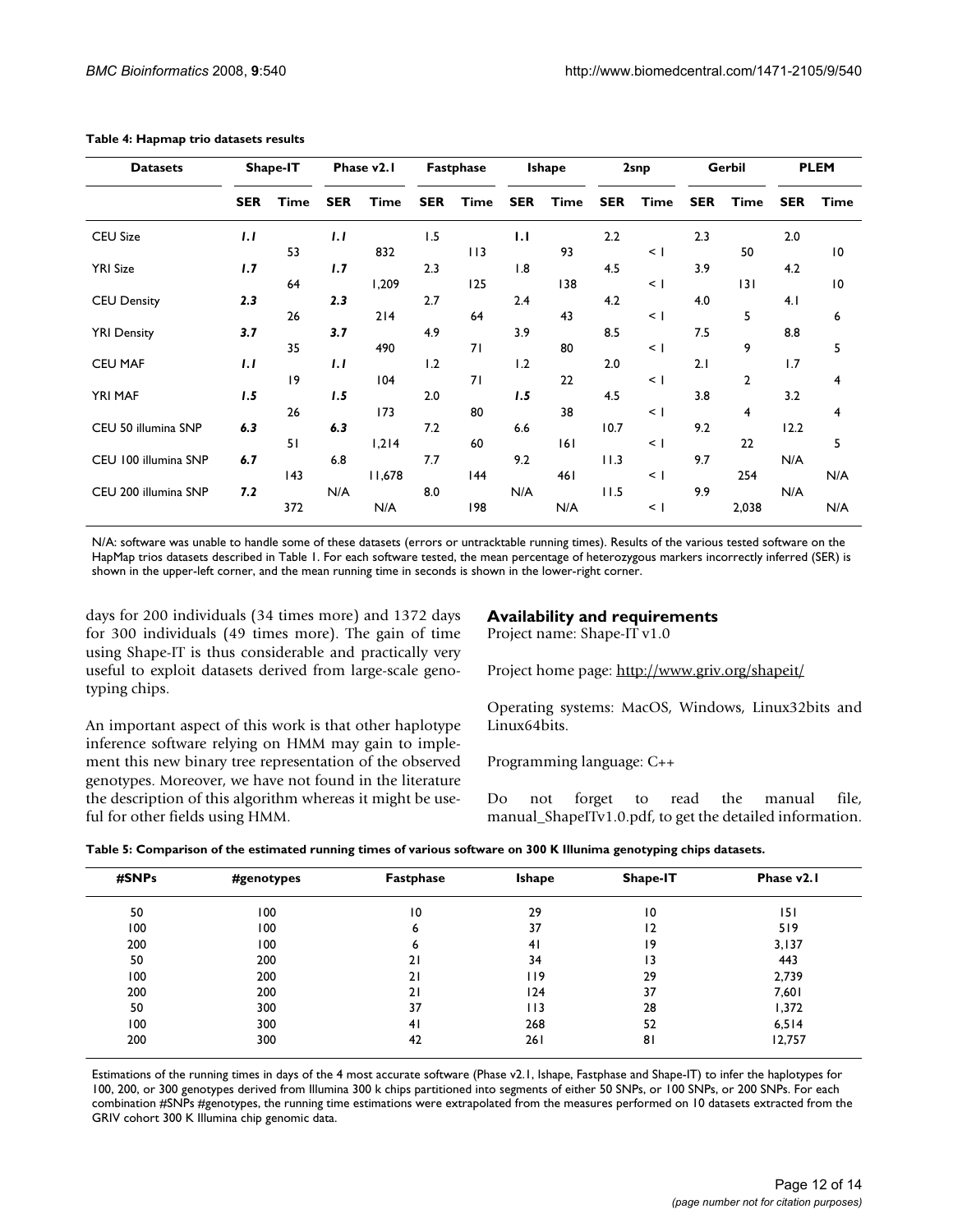| <b>Datasets</b>      |            | Shape-IT |            | Phase v2.1 |            | Fastphase |            | <b>Ishape</b> |            | 2snp   |            | Gerbil         |            | <b>PLEM</b>    |
|----------------------|------------|----------|------------|------------|------------|-----------|------------|---------------|------------|--------|------------|----------------|------------|----------------|
|                      | <b>SER</b> | Time     | <b>SER</b> | Time       | <b>SER</b> | Time      | <b>SER</b> | Time          | <b>SER</b> | Time   | <b>SER</b> | Time           | <b>SER</b> | <b>Time</b>    |
| <b>CEU Size</b>      | 1.1        |          | 1.1        |            | 1.5        |           | 1.1        |               | 2.2        |        | 2.3        |                | 2.0        |                |
|                      |            | 53       |            | 832        |            | 113       |            | 93            |            | $\leq$ |            | 50             |            | 10             |
| <b>YRI Size</b>      | 1.7        |          | 1.7        |            | 2.3        |           | 1.8        |               | 4.5        |        | 3.9        |                | 4.2        |                |
|                      |            | 64       |            | 1,209      |            | 125       |            | 138           |            | $\leq$ |            | 3              |            | 10             |
| <b>CEU Density</b>   | 2.3        |          | 2.3        |            | 2.7        |           | 2.4        |               | 4.2        |        | 4.0        |                | 4.1        |                |
|                      |            | 26       |            | 214        |            | 64        |            | 43            |            | $\leq$ |            | 5              |            | 6              |
| <b>YRI Density</b>   | 3.7        |          | 3.7        |            | 4.9        |           | 3.9        |               | 8.5        |        | 7.5        |                | 8.8        |                |
|                      |            | 35       |            | 490        |            | 71        |            | 80            |            | $\leq$ |            | 9              |            | 5              |
| <b>CEU MAF</b>       | 1.1        |          | 1.1        |            | 1.2        |           | 1.2        |               | 2.0        |        | 2.1        |                | 1.7        |                |
|                      |            | 9        |            | 104        |            | 71        |            | 22            |            | $\leq$ |            | $\overline{2}$ |            | $\overline{4}$ |
| YRI MAF              | 1.5        |          | 1.5        |            | 2.0        |           | 1.5        |               | 4.5        |        | 3.8        |                | 3.2        |                |
|                      |            | 26       |            | 173        |            | 80        |            | 38            |            | $\leq$ |            | 4              |            | 4              |
| CEU 50 illumina SNP  | 6.3        |          | 6.3        |            | 7.2        |           | 6.6        |               | 10.7       |        | 9.2        |                | 12.2       |                |
|                      |            | 51       |            | 1,214      |            | 60        |            | 6             |            | $\leq$ |            | 22             |            | 5              |
| CEU 100 illumina SNP | 6.7        |          | 6.8        |            | 7.7        |           | 9.2        |               | 11.3       |        | 9.7        |                | N/A        |                |
|                      |            | 143      |            | 11,678     |            | 144       |            | 461           |            | $\leq$ |            | 254            |            | N/A            |
| CEU 200 illumina SNP | 7.2        |          | N/A        |            | 8.0        |           | N/A        |               | 11.5       |        | 9.9        |                | N/A        |                |
|                      |            | 372      |            | N/A        |            | 198       |            | N/A           |            | $\leq$ |            | 2,038          |            | N/A            |

#### **Table 4: Hapmap trio datasets results**

N/A: software was unable to handle some of these datasets (errors or untracktable running times). Results of the various tested software on the HapMap trios datasets described in Table 1. For each software tested, the mean percentage of heterozygous markers incorrectly inferred (SER) is shown in the upper-left corner, and the mean running time in seconds is shown in the lower-right corner.

days for 200 individuals (34 times more) and 1372 days for 300 individuals (49 times more). The gain of time using Shape-IT is thus considerable and practically very useful to exploit datasets derived from large-scale genotyping chips.

An important aspect of this work is that other haplotype inference software relying on HMM may gain to implement this new binary tree representation of the observed genotypes. Moreover, we have not found in the literature the description of this algorithm whereas it might be useful for other fields using HMM.

# **Availability and requirements**

Project name: Shape-IT v1.0

Project home page:<http://www.griv.org/shapeit/>

Operating systems: MacOS, Windows, Linux32bits and Linux64bits.

Programming language: C++

Do not forget to read the manual file, manual\_ShapeITv1.0.pdf, to get the detailed information.

|  |  |  | Table 5: Comparison of the estimated running times of various software on 300 K Illunima genotyping chips datasets. |
|--|--|--|---------------------------------------------------------------------------------------------------------------------|
|--|--|--|---------------------------------------------------------------------------------------------------------------------|

| #SNPs | #genotypes | Fastphase | <b>Ishape</b> | Shape-IT        | Phase v <sub>2.1</sub> |
|-------|------------|-----------|---------------|-----------------|------------------------|
| 50    | 100        | 10        | 29            | $\overline{10}$ | 151                    |
| 100   | 100        | 6         | 37            | 12              | 519                    |
| 200   | 100        | 6         | 41            | 19              | 3,137                  |
| 50    | 200        | 21        | 34            | 13              | 443                    |
| 100   | 200        | 21        | I 19          | 29              | 2,739                  |
| 200   | 200        | 21        | 124           | 37              | 7,601                  |
| 50    | 300        | 37        | 113           | 28              | 1,372                  |
| 100   | 300        | 41        | 268           | 52              | 6,514                  |
| 200   | 300        | 42        | 261           | 81              | 12,757                 |

Estimations of the running times in days of the 4 most accurate software (Phase v2.1, Ishape, Fastphase and Shape-IT) to infer the haplotypes for 100, 200, or 300 genotypes derived from Illumina 300 k chips partitioned into segments of either 50 SNPs, or 100 SNPs, or 200 SNPs. For each combination #SNPs #genotypes, the running time estimations were extrapolated from the measures performed on 10 datasets extracted from the GRIV cohort 300 K Illumina chip genomic data.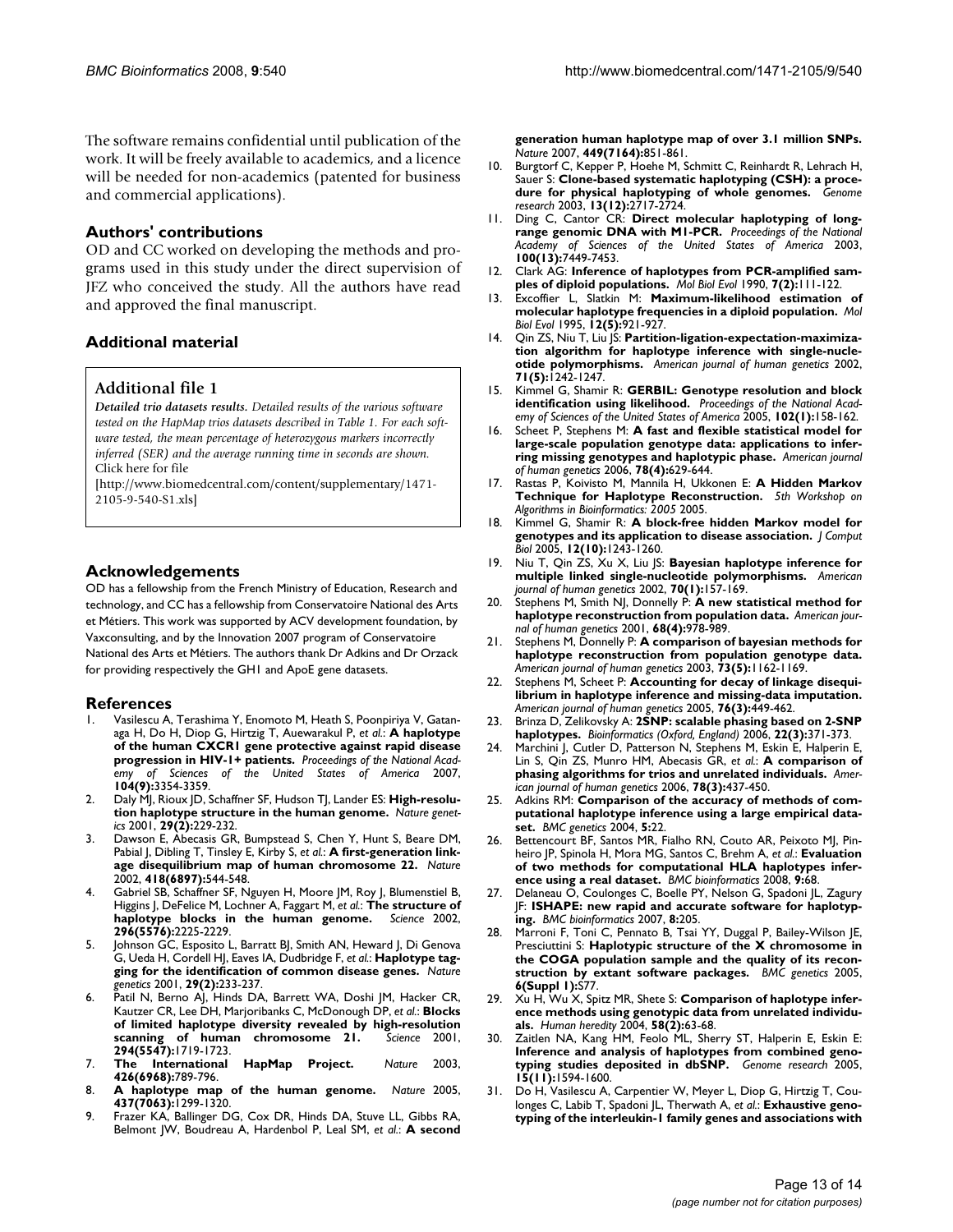The software remains confidential until publication of the work. It will be freely available to academics, and a licence will be needed for non-academics (patented for business and commercial applications).

### **Authors' contributions**

OD and CC worked on developing the methods and programs used in this study under the direct supervision of JFZ who conceived the study. All the authors have read and approved the final manuscript.

### **Additional material**

### **Additional file 1**

*Detailed trio datasets results. Detailed results of the various software tested on the HapMap trios datasets described in Table 1. For each software tested, the mean percentage of heterozygous markers incorrectly inferred (SER) and the average running time in seconds are shown.* Click here for file

[\[http://www.biomedcentral.com/content/supplementary/1471-](http://www.biomedcentral.com/content/supplementary/1471-2105-9-540-S1.xls) 2105-9-540-S1.xls]

### **Acknowledgements**

OD has a fellowship from the French Ministry of Education, Research and technology, and CC has a fellowship from Conservatoire National des Arts et Métiers. This work was supported by ACV development foundation, by Vaxconsulting, and by the Innovation 2007 program of Conservatoire National des Arts et Métiers. The authors thank Dr Adkins and Dr Orzack for providing respectively the GH1 and ApoE gene datasets.

### **References**

- 1. Vasilescu A, Terashima Y, Enomoto M, Heath S, Poonpiriya V, Gatanaga H, Do H, Diop G, Hirtzig T, Auewarakul P, *et al.*: **[A haplotype](http://www.ncbi.nlm.nih.gov/entrez/query.fcgi?cmd=Retrieve&db=PubMed&dopt=Abstract&list_uids=17360650) [of the human CXCR1 gene protective against rapid disease](http://www.ncbi.nlm.nih.gov/entrez/query.fcgi?cmd=Retrieve&db=PubMed&dopt=Abstract&list_uids=17360650) [progression in HIV-1+ patients.](http://www.ncbi.nlm.nih.gov/entrez/query.fcgi?cmd=Retrieve&db=PubMed&dopt=Abstract&list_uids=17360650)** *Proceedings of the National Academy of Sciences of the United States of America* 2007, **104(9):**3354-3359.
- 2. Daly MJ, Rioux JD, Schaffner SF, Hudson TJ, Lander ES: **[High-resolu](http://www.ncbi.nlm.nih.gov/entrez/query.fcgi?cmd=Retrieve&db=PubMed&dopt=Abstract&list_uids=11586305)[tion haplotype structure in the human genome.](http://www.ncbi.nlm.nih.gov/entrez/query.fcgi?cmd=Retrieve&db=PubMed&dopt=Abstract&list_uids=11586305)** *Nature genetics* 2001, **29(2):**229-232.
- 3. Dawson E, Abecasis GR, Bumpstead S, Chen Y, Hunt S, Beare DM, Pabial J, Dibling T, Tinsley E, Kirby S, *et al.*: **[A first-generation link](http://www.ncbi.nlm.nih.gov/entrez/query.fcgi?cmd=Retrieve&db=PubMed&dopt=Abstract&list_uids=12110843)[age disequilibrium map of human chromosome 22.](http://www.ncbi.nlm.nih.gov/entrez/query.fcgi?cmd=Retrieve&db=PubMed&dopt=Abstract&list_uids=12110843)** *Nature* 2002, **418(6897):**544-548.
- 4. Gabriel SB, Schaffner SF, Nguyen H, Moore JM, Roy J, Blumenstiel B, Higgins J, DeFelice M, Lochner A, Faggart M, *et al.*: **[The structure of](http://www.ncbi.nlm.nih.gov/entrez/query.fcgi?cmd=Retrieve&db=PubMed&dopt=Abstract&list_uids=12029063)** [haplotype blocks in the human genome.](http://www.ncbi.nlm.nih.gov/entrez/query.fcgi?cmd=Retrieve&db=PubMed&dopt=Abstract&list_uids=12029063) **296(5576):**2225-2229.
- 5. Johnson GC, Esposito L, Barratt BJ, Smith AN, Heward J, Di Genova G, Ueda H, Cordell HJ, Eaves IA, Dudbridge F, *et al.*: **[Haplotype tag](http://www.ncbi.nlm.nih.gov/entrez/query.fcgi?cmd=Retrieve&db=PubMed&dopt=Abstract&list_uids=11586306)[ging for the identification of common disease genes.](http://www.ncbi.nlm.nih.gov/entrez/query.fcgi?cmd=Retrieve&db=PubMed&dopt=Abstract&list_uids=11586306)** *Nature genetics* 2001, **29(2):**233-237.
- 6. Patil N, Berno AJ, Hinds DA, Barrett WA, Doshi JM, Hacker CR, Kautzer CR, Lee DH, Marjoribanks C, McDonough DP, *et al.*: **[Blocks](http://www.ncbi.nlm.nih.gov/entrez/query.fcgi?cmd=Retrieve&db=PubMed&dopt=Abstract&list_uids=11721056) [of limited haplotype diversity revealed by high-resolution](http://www.ncbi.nlm.nih.gov/entrez/query.fcgi?cmd=Retrieve&db=PubMed&dopt=Abstract&list_uids=11721056)** [scanning of human chromosome 21.](http://www.ncbi.nlm.nih.gov/entrez/query.fcgi?cmd=Retrieve&db=PubMed&dopt=Abstract&list_uids=11721056) **294(5547):**1719-1723.
- 7. **[The International HapMap Project.](http://www.ncbi.nlm.nih.gov/entrez/query.fcgi?cmd=Retrieve&db=PubMed&dopt=Abstract&list_uids=14685227)** *Nature* 2003, **426(6968):**789-796.
- 8. **[A haplotype map of the human genome.](http://www.ncbi.nlm.nih.gov/entrez/query.fcgi?cmd=Retrieve&db=PubMed&dopt=Abstract&list_uids=16255080)** *Nature* 2005, **437(7063):**1299-1320.
- 9. Frazer KA, Ballinger DG, Cox DR, Hinds DA, Stuve LL, Gibbs RA, Belmont JW, Boudreau A, Hardenbol P, Leal SM, *et al.*: **[A second](http://www.ncbi.nlm.nih.gov/entrez/query.fcgi?cmd=Retrieve&db=PubMed&dopt=Abstract&list_uids=17943122)**

**[generation human haplotype map of over 3.1 million SNPs.](http://www.ncbi.nlm.nih.gov/entrez/query.fcgi?cmd=Retrieve&db=PubMed&dopt=Abstract&list_uids=17943122)** *Nature* 2007, **449(7164):**851-861.

- 10. Burgtorf C, Kepper P, Hoehe M, Schmitt C, Reinhardt R, Lehrach H, Sauer S: **[Clone-based systematic haplotyping \(CSH\): a proce](http://www.ncbi.nlm.nih.gov/entrez/query.fcgi?cmd=Retrieve&db=PubMed&dopt=Abstract&list_uids=14656974)[dure for physical haplotyping of whole genomes.](http://www.ncbi.nlm.nih.gov/entrez/query.fcgi?cmd=Retrieve&db=PubMed&dopt=Abstract&list_uids=14656974)** *Genome research* 2003, **13(12):**2717-2724.
- 11. Ding C, Cantor CR: **[Direct molecular haplotyping of long](http://www.ncbi.nlm.nih.gov/entrez/query.fcgi?cmd=Retrieve&db=PubMed&dopt=Abstract&list_uids=12802015)[range genomic DNA with M1-PCR.](http://www.ncbi.nlm.nih.gov/entrez/query.fcgi?cmd=Retrieve&db=PubMed&dopt=Abstract&list_uids=12802015)** *Proceedings of the National Academy of Sciences of the United States of America* 2003, **100(13):**7449-7453.
- 12. Clark AG: **[Inference of haplotypes from PCR-amplified sam](http://www.ncbi.nlm.nih.gov/entrez/query.fcgi?cmd=Retrieve&db=PubMed&dopt=Abstract&list_uids=2108305)[ples of diploid populations.](http://www.ncbi.nlm.nih.gov/entrez/query.fcgi?cmd=Retrieve&db=PubMed&dopt=Abstract&list_uids=2108305)** *Mol Biol Evol* 1990, **7(2):**111-122.
- 13. Excoffier L, Slatkin M: **[Maximum-likelihood estimation of](http://www.ncbi.nlm.nih.gov/entrez/query.fcgi?cmd=Retrieve&db=PubMed&dopt=Abstract&list_uids=7476138) [molecular haplotype frequencies in a diploid population.](http://www.ncbi.nlm.nih.gov/entrez/query.fcgi?cmd=Retrieve&db=PubMed&dopt=Abstract&list_uids=7476138)** *Mol Biol Evol* 1995, **12(5):**921-927.
- Qin ZS, Niu T, Liu JS: [Partition-ligation-expectation-maximiza](http://www.ncbi.nlm.nih.gov/entrez/query.fcgi?cmd=Retrieve&db=PubMed&dopt=Abstract&list_uids=12452179)**[tion algorithm for haplotype inference with single-nucle](http://www.ncbi.nlm.nih.gov/entrez/query.fcgi?cmd=Retrieve&db=PubMed&dopt=Abstract&list_uids=12452179)[otide polymorphisms.](http://www.ncbi.nlm.nih.gov/entrez/query.fcgi?cmd=Retrieve&db=PubMed&dopt=Abstract&list_uids=12452179)** *American journal of human genetics* 2002, **71(5):**1242-1247.
- 15. Kimmel G, Shamir R: **[GERBIL: Genotype resolution and block](http://www.ncbi.nlm.nih.gov/entrez/query.fcgi?cmd=Retrieve&db=PubMed&dopt=Abstract&list_uids=15615859) [identification using likelihood.](http://www.ncbi.nlm.nih.gov/entrez/query.fcgi?cmd=Retrieve&db=PubMed&dopt=Abstract&list_uids=15615859)** *Proceedings of the National Academy of Sciences of the United States of America* 2005, **102(1):**158-162.
- 16. Scheet P, Stephens M: **[A fast and flexible statistical model for](http://www.ncbi.nlm.nih.gov/entrez/query.fcgi?cmd=Retrieve&db=PubMed&dopt=Abstract&list_uids=16532393) [large-scale population genotype data: applications to infer](http://www.ncbi.nlm.nih.gov/entrez/query.fcgi?cmd=Retrieve&db=PubMed&dopt=Abstract&list_uids=16532393)[ring missing genotypes and haplotypic phase.](http://www.ncbi.nlm.nih.gov/entrez/query.fcgi?cmd=Retrieve&db=PubMed&dopt=Abstract&list_uids=16532393)** *American journal of human genetics* 2006, **78(4):**629-644.
- 17. Rastas P, Koivisto M, Mannila H, Ukkonen E: **A Hidden Markov Technique for Haplotype Reconstruction.** *5th Workshop on Algorithms in Bioinformatics: 2005* 2005.
- 18. Kimmel G, Shamir R: **[A block-free hidden Markov model for](http://www.ncbi.nlm.nih.gov/entrez/query.fcgi?cmd=Retrieve&db=PubMed&dopt=Abstract&list_uids=16379532) [genotypes and its application to disease association.](http://www.ncbi.nlm.nih.gov/entrez/query.fcgi?cmd=Retrieve&db=PubMed&dopt=Abstract&list_uids=16379532)** *J Comput Biol* 2005, **12(10):**1243-1260.
- 19. Niu T, Qin ZS, Xu X, Liu JS: **[Bayesian haplotype inference for](http://www.ncbi.nlm.nih.gov/entrez/query.fcgi?cmd=Retrieve&db=PubMed&dopt=Abstract&list_uids=11741196) [multiple linked single-nucleotide polymorphisms.](http://www.ncbi.nlm.nih.gov/entrez/query.fcgi?cmd=Retrieve&db=PubMed&dopt=Abstract&list_uids=11741196)** *American journal of human genetics* 2002, **70(1):**157-169.
- Stephens M, Smith NJ, Donnelly P: [A new statistical method for](http://www.ncbi.nlm.nih.gov/entrez/query.fcgi?cmd=Retrieve&db=PubMed&dopt=Abstract&list_uids=11254454) **[haplotype reconstruction from population data.](http://www.ncbi.nlm.nih.gov/entrez/query.fcgi?cmd=Retrieve&db=PubMed&dopt=Abstract&list_uids=11254454)** *American journal of human genetics* 2001, **68(4):**978-989.
- 21. Stephens M, Donnelly P: **[A comparison of bayesian methods for](http://www.ncbi.nlm.nih.gov/entrez/query.fcgi?cmd=Retrieve&db=PubMed&dopt=Abstract&list_uids=14574645) [haplotype reconstruction from population genotype data.](http://www.ncbi.nlm.nih.gov/entrez/query.fcgi?cmd=Retrieve&db=PubMed&dopt=Abstract&list_uids=14574645)** *American journal of human genetics* 2003, **73(5):**1162-1169.
- 22. Stephens M, Scheet P: **[Accounting for decay of linkage disequi](http://www.ncbi.nlm.nih.gov/entrez/query.fcgi?cmd=Retrieve&db=PubMed&dopt=Abstract&list_uids=15700229)[librium in haplotype inference and missing-data imputation.](http://www.ncbi.nlm.nih.gov/entrez/query.fcgi?cmd=Retrieve&db=PubMed&dopt=Abstract&list_uids=15700229)** *American journal of human genetics* 2005, **76(3):**449-462.
- 23. Brinza D, Zelikovsky A: **[2SNP: scalable phasing based on 2-SNP](http://www.ncbi.nlm.nih.gov/entrez/query.fcgi?cmd=Retrieve&db=PubMed&dopt=Abstract&list_uids=16287933) [haplotypes.](http://www.ncbi.nlm.nih.gov/entrez/query.fcgi?cmd=Retrieve&db=PubMed&dopt=Abstract&list_uids=16287933)** *Bioinformatics (Oxford, England)* 2006, **22(3):**371-373.
- 24. Marchini J, Cutler D, Patterson N, Stephens M, Eskin E, Halperin E, Lin S, Qin ZS, Munro HM, Abecasis GR, *et al.*: **[A comparison of](http://www.ncbi.nlm.nih.gov/entrez/query.fcgi?cmd=Retrieve&db=PubMed&dopt=Abstract&list_uids=16465620) [phasing algorithms for trios and unrelated individuals.](http://www.ncbi.nlm.nih.gov/entrez/query.fcgi?cmd=Retrieve&db=PubMed&dopt=Abstract&list_uids=16465620)** *American journal of human genetics* 2006, **78(3):**437-450.
- 25. Adkins RM: **[Comparison of the accuracy of methods of com](http://www.ncbi.nlm.nih.gov/entrez/query.fcgi?cmd=Retrieve&db=PubMed&dopt=Abstract&list_uids=15291970)[putational haplotype inference using a large empirical data](http://www.ncbi.nlm.nih.gov/entrez/query.fcgi?cmd=Retrieve&db=PubMed&dopt=Abstract&list_uids=15291970)[set.](http://www.ncbi.nlm.nih.gov/entrez/query.fcgi?cmd=Retrieve&db=PubMed&dopt=Abstract&list_uids=15291970)** *BMC genetics* 2004, **5:**22.
- 26. Bettencourt BF, Santos MR, Fialho RN, Couto AR, Peixoto MJ, Pinheiro JP, Spinola H, Mora MG, Santos C, Brehm A, *et al.*: **[Evaluation](http://www.ncbi.nlm.nih.gov/entrez/query.fcgi?cmd=Retrieve&db=PubMed&dopt=Abstract&list_uids=18230173) [of two methods for computational HLA haplotypes infer](http://www.ncbi.nlm.nih.gov/entrez/query.fcgi?cmd=Retrieve&db=PubMed&dopt=Abstract&list_uids=18230173)[ence using a real dataset.](http://www.ncbi.nlm.nih.gov/entrez/query.fcgi?cmd=Retrieve&db=PubMed&dopt=Abstract&list_uids=18230173)** *BMC bioinformatics* 2008, **9:**68.
- 27. Delaneau O, Coulonges C, Boelle PY, Nelson G, Spadoni JL, Zagury JF: **[ISHAPE: new rapid and accurate software for haplotyp](http://www.ncbi.nlm.nih.gov/entrez/query.fcgi?cmd=Retrieve&db=PubMed&dopt=Abstract&list_uids=17573965)[ing.](http://www.ncbi.nlm.nih.gov/entrez/query.fcgi?cmd=Retrieve&db=PubMed&dopt=Abstract&list_uids=17573965)** *BMC bioinformatics* 2007, **8:**205.
- 28. Marroni F, Toni C, Pennato B, Tsai YY, Duggal P, Bailey-Wilson JE, Presciuttini S: **[Haplotypic structure of the X chromosome in](http://www.ncbi.nlm.nih.gov/entrez/query.fcgi?cmd=Retrieve&db=PubMed&dopt=Abstract&list_uids=16451691) [the COGA population sample and the quality of its recon](http://www.ncbi.nlm.nih.gov/entrez/query.fcgi?cmd=Retrieve&db=PubMed&dopt=Abstract&list_uids=16451691)[struction by extant software packages.](http://www.ncbi.nlm.nih.gov/entrez/query.fcgi?cmd=Retrieve&db=PubMed&dopt=Abstract&list_uids=16451691)** *BMC genetics* 2005, **6(Suppl 1):**S77.
- 29. Xu H, Wu X, Spitz MR, Shete S: **[Comparison of haplotype infer](http://www.ncbi.nlm.nih.gov/entrez/query.fcgi?cmd=Retrieve&db=PubMed&dopt=Abstract&list_uids=15711085)[ence methods using genotypic data from unrelated individu](http://www.ncbi.nlm.nih.gov/entrez/query.fcgi?cmd=Retrieve&db=PubMed&dopt=Abstract&list_uids=15711085)[als.](http://www.ncbi.nlm.nih.gov/entrez/query.fcgi?cmd=Retrieve&db=PubMed&dopt=Abstract&list_uids=15711085)** *Human heredity* 2004, **58(2):**63-68.
- 30. Zaitlen NA, Kang HM, Feolo ML, Sherry ST, Halperin E, Eskin E: **[Inference and analysis of haplotypes from combined geno](http://www.ncbi.nlm.nih.gov/entrez/query.fcgi?cmd=Retrieve&db=PubMed&dopt=Abstract&list_uids=16251470)[typing studies deposited in dbSNP.](http://www.ncbi.nlm.nih.gov/entrez/query.fcgi?cmd=Retrieve&db=PubMed&dopt=Abstract&list_uids=16251470)** *Genome research* 2005, **15(11):**1594-1600.
- 31. Do H, Vasilescu A, Carpentier W, Meyer L, Diop G, Hirtzig T, Coulonges C, Labib T, Spadoni | L, Therwath A, et al.: **[Exhaustive geno](http://www.ncbi.nlm.nih.gov/entrez/query.fcgi?cmd=Retrieve&db=PubMed&dopt=Abstract&list_uids=17083033)[typing of the interleukin-1 family genes and associations with](http://www.ncbi.nlm.nih.gov/entrez/query.fcgi?cmd=Retrieve&db=PubMed&dopt=Abstract&list_uids=17083033)**